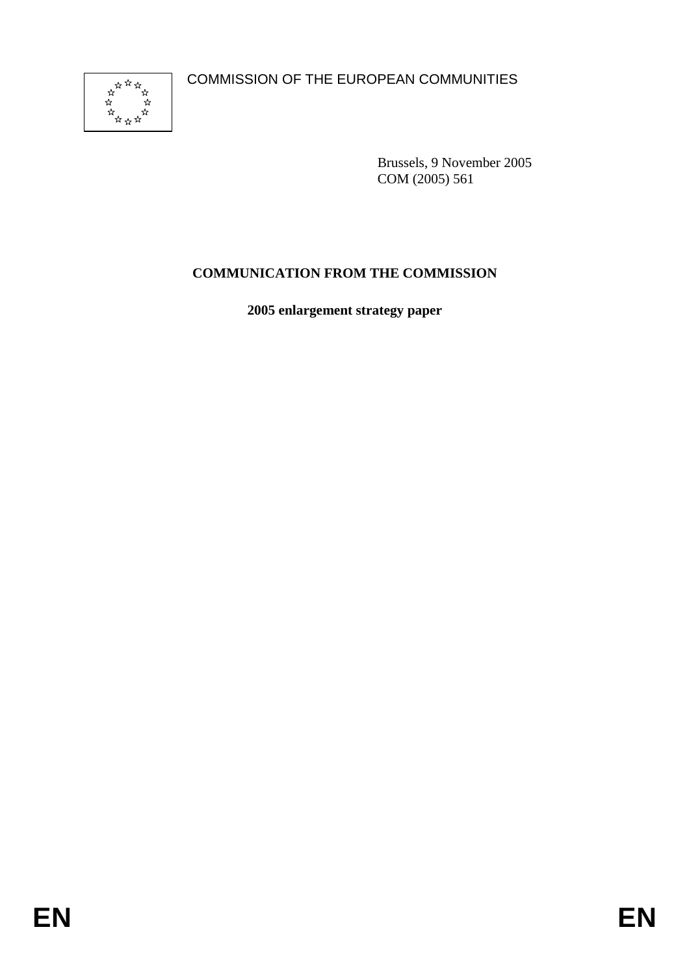COMMISSION OF THE EUROPEAN COMMUNITIES



Brussels, 9 November 2005 COM (2005) 561

# **COMMUNICATION FROM THE COMMISSION**

**2005 enlargement strategy paper**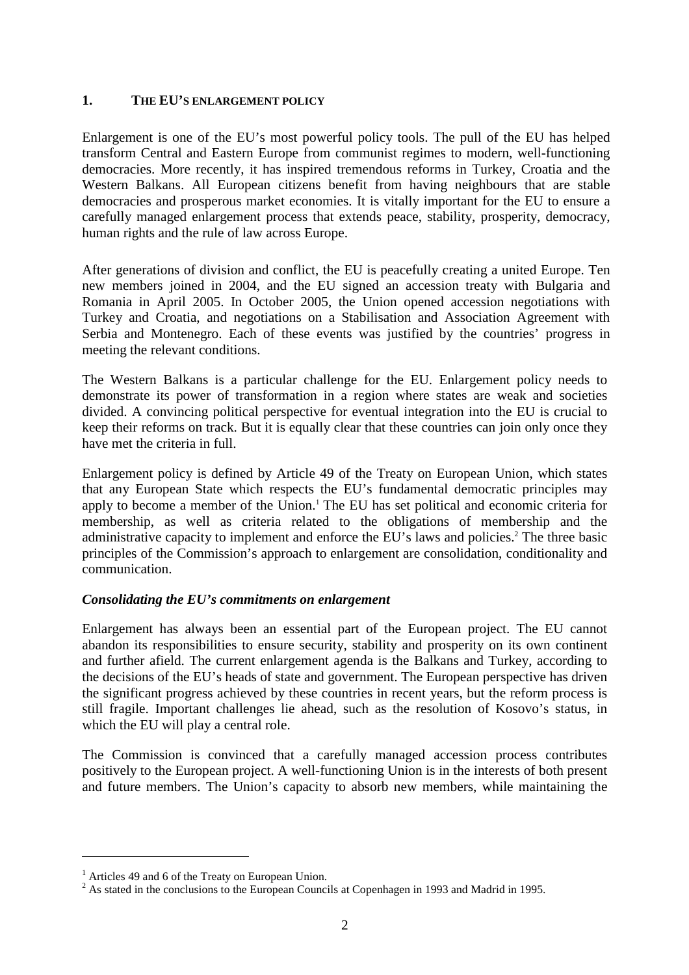### **1. THE EU'S ENLARGEMENT POLICY**

Enlargement is one of the EU's most powerful policy tools. The pull of the EU has helped transform Central and Eastern Europe from communist regimes to modern, well-functioning democracies. More recently, it has inspired tremendous reforms in Turkey, Croatia and the Western Balkans. All European citizens benefit from having neighbours that are stable democracies and prosperous market economies. It is vitally important for the EU to ensure a carefully managed enlargement process that extends peace, stability, prosperity, democracy, human rights and the rule of law across Europe.

After generations of division and conflict, the EU is peacefully creating a united Europe. Ten new members joined in 2004, and the EU signed an accession treaty with Bulgaria and Romania in April 2005. In October 2005, the Union opened accession negotiations with Turkey and Croatia, and negotiations on a Stabilisation and Association Agreement with Serbia and Montenegro. Each of these events was justified by the countries' progress in meeting the relevant conditions.

The Western Balkans is a particular challenge for the EU. Enlargement policy needs to demonstrate its power of transformation in a region where states are weak and societies divided. A convincing political perspective for eventual integration into the EU is crucial to keep their reforms on track. But it is equally clear that these countries can join only once they have met the criteria in full.

Enlargement policy is defined by Article 49 of the Treaty on European Union, which states that any European State which respects the EU's fundamental democratic principles may apply to become a member of the Union.<sup>1</sup> The EU has set political and economic criteria for membership, as well as criteria related to the obligations of membership and the administrative capacity to implement and enforce the EU's laws and policies.<sup>2</sup> The three basic principles of the Commission's approach to enlargement are consolidation, conditionality and communication.

# *Consolidating the EU's commitments on enlargement*

Enlargement has always been an essential part of the European project. The EU cannot abandon its responsibilities to ensure security, stability and prosperity on its own continent and further afield. The current enlargement agenda is the Balkans and Turkey, according to the decisions of the EU's heads of state and government. The European perspective has driven the significant progress achieved by these countries in recent years, but the reform process is still fragile. Important challenges lie ahead, such as the resolution of Kosovo's status, in which the EU will play a central role.

The Commission is convinced that a carefully managed accession process contributes positively to the European project. A well-functioning Union is in the interests of both present and future members. The Union's capacity to absorb new members, while maintaining the

 $\overline{a}$ 

<sup>&</sup>lt;sup>1</sup> Articles 49 and 6 of the Treaty on European Union.<br><sup>2</sup> As stated in the conclusions to the European Councils at Copenhagen in 1993 and Madrid in 1995.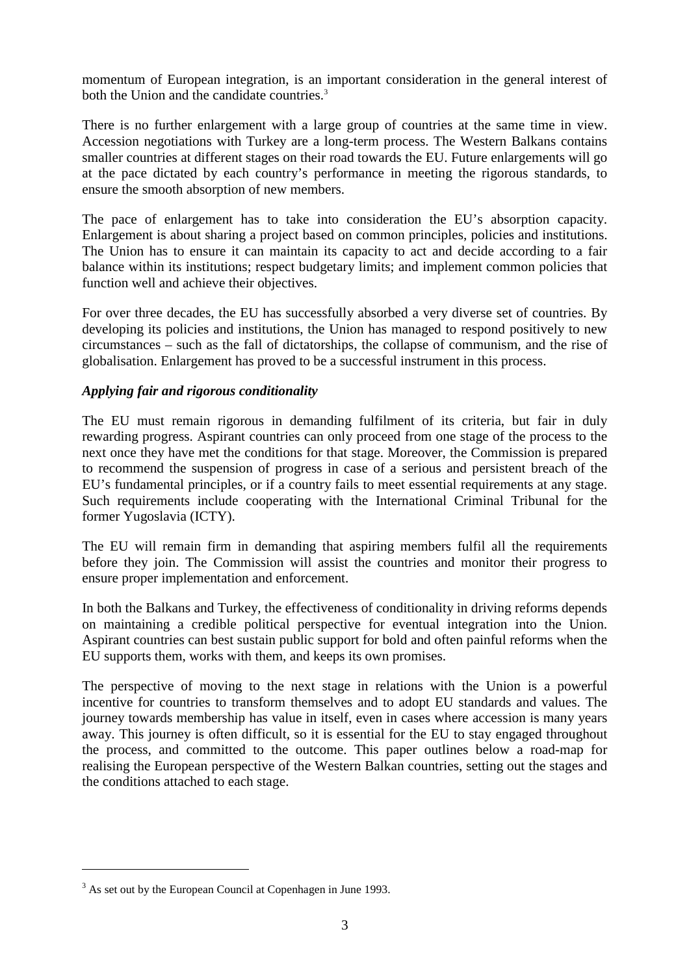momentum of European integration, is an important consideration in the general interest of both the Union and the candidate countries.<sup>3</sup>

There is no further enlargement with a large group of countries at the same time in view. Accession negotiations with Turkey are a long-term process. The Western Balkans contains smaller countries at different stages on their road towards the EU. Future enlargements will go at the pace dictated by each country's performance in meeting the rigorous standards, to ensure the smooth absorption of new members.

The pace of enlargement has to take into consideration the EU's absorption capacity. Enlargement is about sharing a project based on common principles, policies and institutions. The Union has to ensure it can maintain its capacity to act and decide according to a fair balance within its institutions; respect budgetary limits; and implement common policies that function well and achieve their objectives.

For over three decades, the EU has successfully absorbed a very diverse set of countries. By developing its policies and institutions, the Union has managed to respond positively to new circumstances – such as the fall of dictatorships, the collapse of communism, and the rise of globalisation. Enlargement has proved to be a successful instrument in this process.

# *Applying fair and rigorous conditionality*

The EU must remain rigorous in demanding fulfilment of its criteria, but fair in duly rewarding progress. Aspirant countries can only proceed from one stage of the process to the next once they have met the conditions for that stage. Moreover, the Commission is prepared to recommend the suspension of progress in case of a serious and persistent breach of the EU's fundamental principles, or if a country fails to meet essential requirements at any stage. Such requirements include cooperating with the International Criminal Tribunal for the former Yugoslavia (ICTY).

The EU will remain firm in demanding that aspiring members fulfil all the requirements before they join. The Commission will assist the countries and monitor their progress to ensure proper implementation and enforcement.

In both the Balkans and Turkey, the effectiveness of conditionality in driving reforms depends on maintaining a credible political perspective for eventual integration into the Union. Aspirant countries can best sustain public support for bold and often painful reforms when the EU supports them, works with them, and keeps its own promises.

The perspective of moving to the next stage in relations with the Union is a powerful incentive for countries to transform themselves and to adopt EU standards and values. The journey towards membership has value in itself, even in cases where accession is many years away. This journey is often difficult, so it is essential for the EU to stay engaged throughout the process, and committed to the outcome. This paper outlines below a road-map for realising the European perspective of the Western Balkan countries, setting out the stages and the conditions attached to each stage.

 $\overline{a}$ 

<sup>&</sup>lt;sup>3</sup> As set out by the European Council at Copenhagen in June 1993.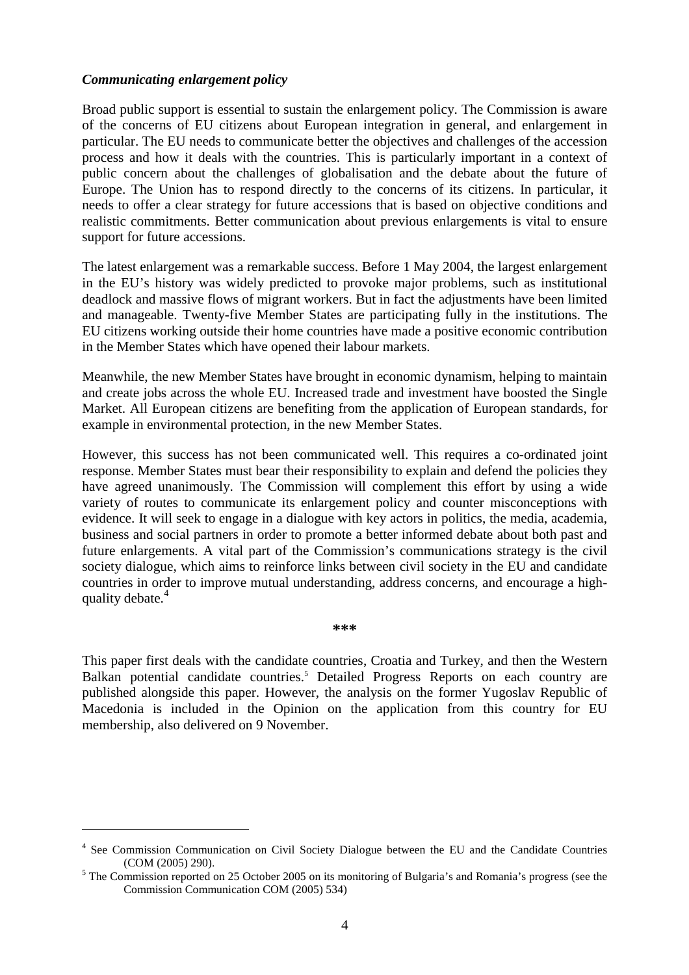#### *Communicating enlargement policy*

 $\overline{a}$ 

Broad public support is essential to sustain the enlargement policy. The Commission is aware of the concerns of EU citizens about European integration in general, and enlargement in particular. The EU needs to communicate better the objectives and challenges of the accession process and how it deals with the countries. This is particularly important in a context of public concern about the challenges of globalisation and the debate about the future of Europe. The Union has to respond directly to the concerns of its citizens. In particular, it needs to offer a clear strategy for future accessions that is based on objective conditions and realistic commitments. Better communication about previous enlargements is vital to ensure support for future accessions.

The latest enlargement was a remarkable success. Before 1 May 2004, the largest enlargement in the EU's history was widely predicted to provoke major problems, such as institutional deadlock and massive flows of migrant workers. But in fact the adjustments have been limited and manageable. Twenty-five Member States are participating fully in the institutions. The EU citizens working outside their home countries have made a positive economic contribution in the Member States which have opened their labour markets.

Meanwhile, the new Member States have brought in economic dynamism, helping to maintain and create jobs across the whole EU. Increased trade and investment have boosted the Single Market. All European citizens are benefiting from the application of European standards, for example in environmental protection, in the new Member States.

However, this success has not been communicated well. This requires a co-ordinated joint response. Member States must bear their responsibility to explain and defend the policies they have agreed unanimously. The Commission will complement this effort by using a wide variety of routes to communicate its enlargement policy and counter misconceptions with evidence. It will seek to engage in a dialogue with key actors in politics, the media, academia, business and social partners in order to promote a better informed debate about both past and future enlargements. A vital part of the Commission's communications strategy is the civil society dialogue, which aims to reinforce links between civil society in the EU and candidate countries in order to improve mutual understanding, address concerns, and encourage a highquality debate.<sup>4</sup>

**\*\*\*** 

This paper first deals with the candidate countries, Croatia and Turkey, and then the Western Balkan potential candidate countries.<sup>5</sup> Detailed Progress Reports on each country are published alongside this paper. However, the analysis on the former Yugoslav Republic of Macedonia is included in the Opinion on the application from this country for EU membership, also delivered on 9 November.

<sup>&</sup>lt;sup>4</sup> See Commission Communication on Civil Society Dialogue between the EU and the Candidate Countries

<sup>(</sup>COM (2005) 290).<br><sup>5</sup> The Commission reported on 25 October 2005 on its monitoring of Bulgaria's and Romania's progress (see the Commission Communication COM (2005) 534)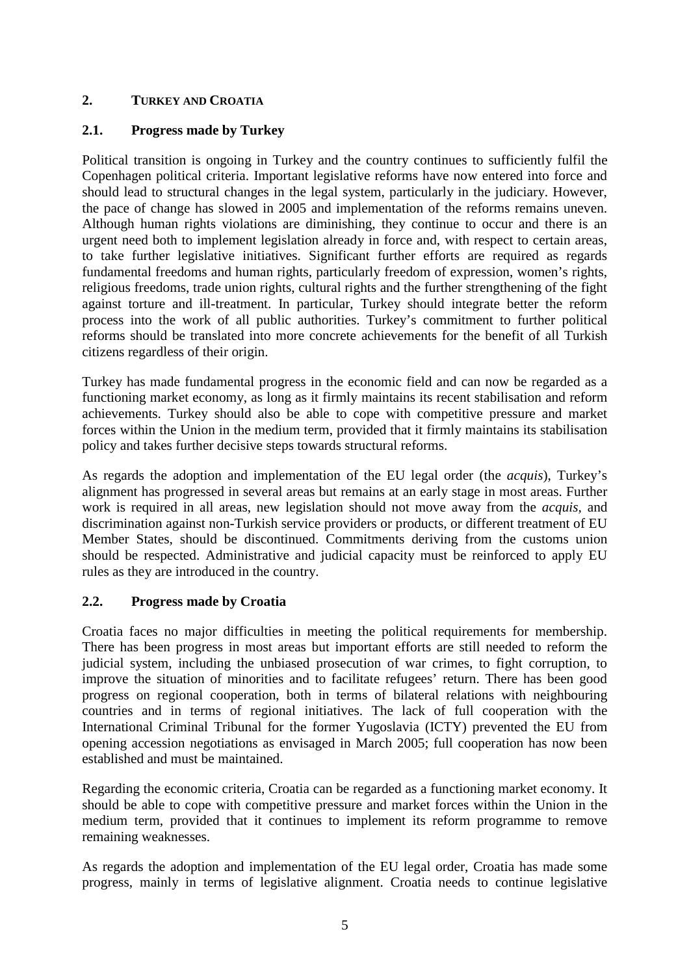# **2. TURKEY AND CROATIA**

# **2.1. Progress made by Turkey**

Political transition is ongoing in Turkey and the country continues to sufficiently fulfil the Copenhagen political criteria. Important legislative reforms have now entered into force and should lead to structural changes in the legal system, particularly in the judiciary. However, the pace of change has slowed in 2005 and implementation of the reforms remains uneven. Although human rights violations are diminishing, they continue to occur and there is an urgent need both to implement legislation already in force and, with respect to certain areas, to take further legislative initiatives. Significant further efforts are required as regards fundamental freedoms and human rights, particularly freedom of expression, women's rights, religious freedoms, trade union rights, cultural rights and the further strengthening of the fight against torture and ill-treatment. In particular, Turkey should integrate better the reform process into the work of all public authorities. Turkey's commitment to further political reforms should be translated into more concrete achievements for the benefit of all Turkish citizens regardless of their origin.

Turkey has made fundamental progress in the economic field and can now be regarded as a functioning market economy, as long as it firmly maintains its recent stabilisation and reform achievements. Turkey should also be able to cope with competitive pressure and market forces within the Union in the medium term, provided that it firmly maintains its stabilisation policy and takes further decisive steps towards structural reforms.

As regards the adoption and implementation of the EU legal order (the *acquis*), Turkey's alignment has progressed in several areas but remains at an early stage in most areas. Further work is required in all areas, new legislation should not move away from the *acquis,* and discrimination against non-Turkish service providers or products, or different treatment of EU Member States, should be discontinued. Commitments deriving from the customs union should be respected. Administrative and judicial capacity must be reinforced to apply EU rules as they are introduced in the country.

# **2.2. Progress made by Croatia**

Croatia faces no major difficulties in meeting the political requirements for membership. There has been progress in most areas but important efforts are still needed to reform the judicial system, including the unbiased prosecution of war crimes, to fight corruption, to improve the situation of minorities and to facilitate refugees' return. There has been good progress on regional cooperation, both in terms of bilateral relations with neighbouring countries and in terms of regional initiatives. The lack of full cooperation with the International Criminal Tribunal for the former Yugoslavia (ICTY) prevented the EU from opening accession negotiations as envisaged in March 2005; full cooperation has now been established and must be maintained.

Regarding the economic criteria, Croatia can be regarded as a functioning market economy. It should be able to cope with competitive pressure and market forces within the Union in the medium term, provided that it continues to implement its reform programme to remove remaining weaknesses.

As regards the adoption and implementation of the EU legal order, Croatia has made some progress, mainly in terms of legislative alignment. Croatia needs to continue legislative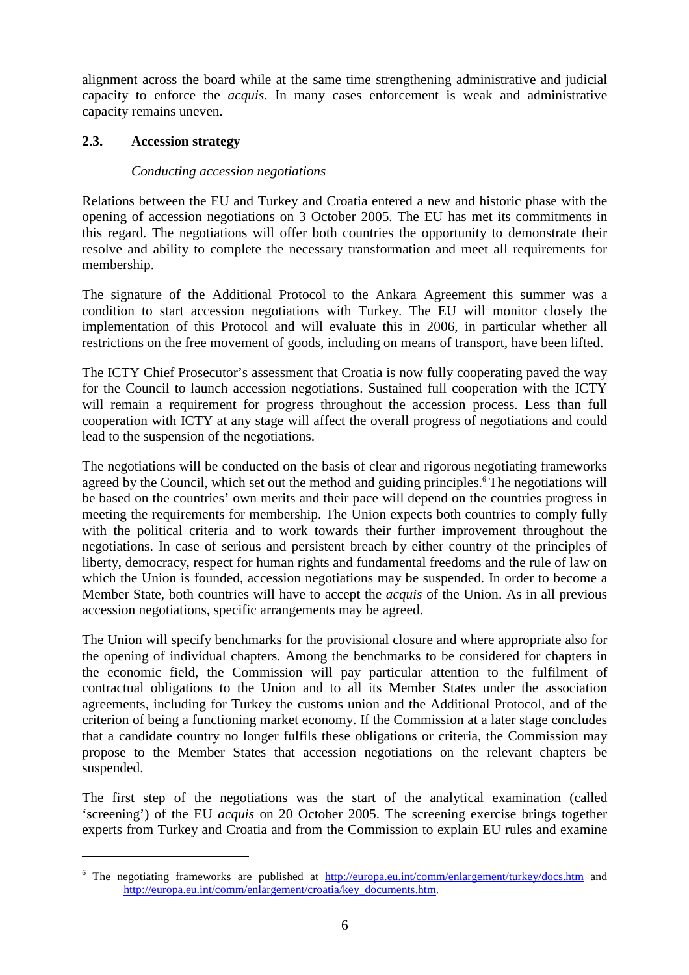alignment across the board while at the same time strengthening administrative and judicial capacity to enforce the *acquis*. In many cases enforcement is weak and administrative capacity remains uneven.

### **2.3. Accession strategy**

 $\overline{a}$ 

### *Conducting accession negotiations*

Relations between the EU and Turkey and Croatia entered a new and historic phase with the opening of accession negotiations on 3 October 2005. The EU has met its commitments in this regard. The negotiations will offer both countries the opportunity to demonstrate their resolve and ability to complete the necessary transformation and meet all requirements for membership.

The signature of the Additional Protocol to the Ankara Agreement this summer was a condition to start accession negotiations with Turkey. The EU will monitor closely the implementation of this Protocol and will evaluate this in 2006, in particular whether all restrictions on the free movement of goods, including on means of transport, have been lifted.

The ICTY Chief Prosecutor's assessment that Croatia is now fully cooperating paved the way for the Council to launch accession negotiations. Sustained full cooperation with the ICTY will remain a requirement for progress throughout the accession process. Less than full cooperation with ICTY at any stage will affect the overall progress of negotiations and could lead to the suspension of the negotiations.

The negotiations will be conducted on the basis of clear and rigorous negotiating frameworks agreed by the Council, which set out the method and guiding principles.<sup>6</sup> The negotiations will be based on the countries' own merits and their pace will depend on the countries progress in meeting the requirements for membership. The Union expects both countries to comply fully with the political criteria and to work towards their further improvement throughout the negotiations. In case of serious and persistent breach by either country of the principles of liberty, democracy, respect for human rights and fundamental freedoms and the rule of law on which the Union is founded, accession negotiations may be suspended. In order to become a Member State, both countries will have to accept the *acquis* of the Union. As in all previous accession negotiations, specific arrangements may be agreed.

The Union will specify benchmarks for the provisional closure and where appropriate also for the opening of individual chapters. Among the benchmarks to be considered for chapters in the economic field, the Commission will pay particular attention to the fulfilment of contractual obligations to the Union and to all its Member States under the association agreements, including for Turkey the customs union and the Additional Protocol, and of the criterion of being a functioning market economy. If the Commission at a later stage concludes that a candidate country no longer fulfils these obligations or criteria, the Commission may propose to the Member States that accession negotiations on the relevant chapters be suspended.

The first step of the negotiations was the start of the analytical examination (called 'screening') of the EU *acquis* on 20 October 2005. The screening exercise brings together experts from Turkey and Croatia and from the Commission to explain EU rules and examine

<sup>&</sup>lt;sup>6</sup> The negotiating frameworks are published at <http://europa.eu.int/comm/enlargement/turkey/docs.htm>and [http://europa.eu.int/comm/enlargement/croatia/key\\_documents.htm.](http://europa.eu.int/comm/enlargement/croatia/key_documents.htm)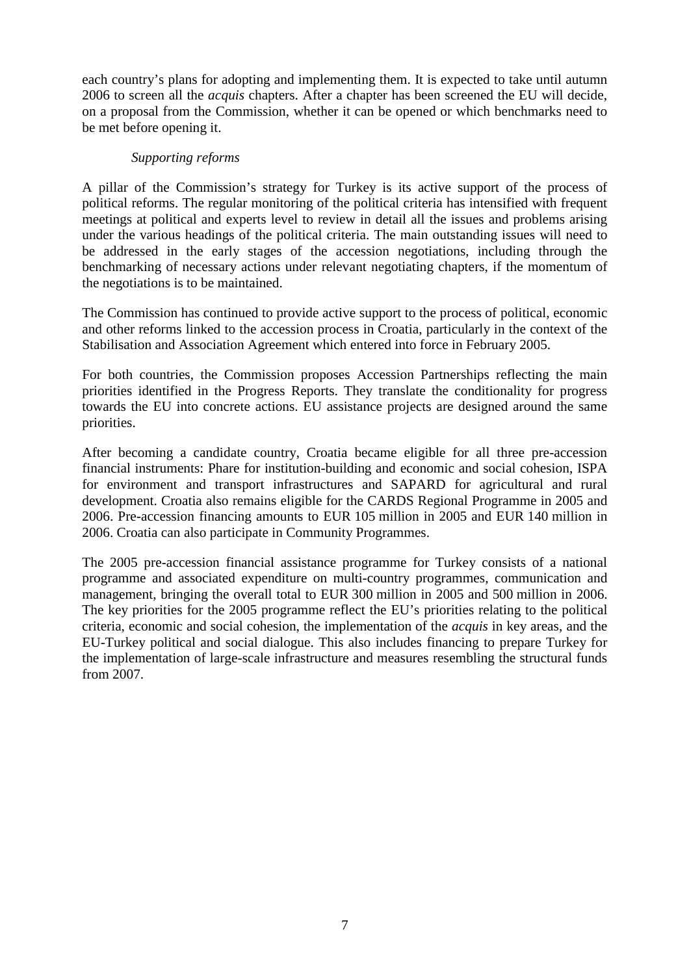each country's plans for adopting and implementing them. It is expected to take until autumn 2006 to screen all the *acquis* chapters. After a chapter has been screened the EU will decide, on a proposal from the Commission, whether it can be opened or which benchmarks need to be met before opening it.

#### *Supporting reforms*

A pillar of the Commission's strategy for Turkey is its active support of the process of political reforms. The regular monitoring of the political criteria has intensified with frequent meetings at political and experts level to review in detail all the issues and problems arising under the various headings of the political criteria. The main outstanding issues will need to be addressed in the early stages of the accession negotiations, including through the benchmarking of necessary actions under relevant negotiating chapters, if the momentum of the negotiations is to be maintained.

The Commission has continued to provide active support to the process of political, economic and other reforms linked to the accession process in Croatia, particularly in the context of the Stabilisation and Association Agreement which entered into force in February 2005.

For both countries, the Commission proposes Accession Partnerships reflecting the main priorities identified in the Progress Reports. They translate the conditionality for progress towards the EU into concrete actions. EU assistance projects are designed around the same priorities.

After becoming a candidate country, Croatia became eligible for all three pre-accession financial instruments: Phare for institution-building and economic and social cohesion, ISPA for environment and transport infrastructures and SAPARD for agricultural and rural development. Croatia also remains eligible for the CARDS Regional Programme in 2005 and 2006. Pre-accession financing amounts to EUR 105 million in 2005 and EUR 140 million in 2006. Croatia can also participate in Community Programmes.

The 2005 pre-accession financial assistance programme for Turkey consists of a national programme and associated expenditure on multi-country programmes, communication and management, bringing the overall total to EUR 300 million in 2005 and 500 million in 2006. The key priorities for the 2005 programme reflect the EU's priorities relating to the political criteria, economic and social cohesion, the implementation of the *acquis* in key areas, and the EU-Turkey political and social dialogue. This also includes financing to prepare Turkey for the implementation of large-scale infrastructure and measures resembling the structural funds from 2007.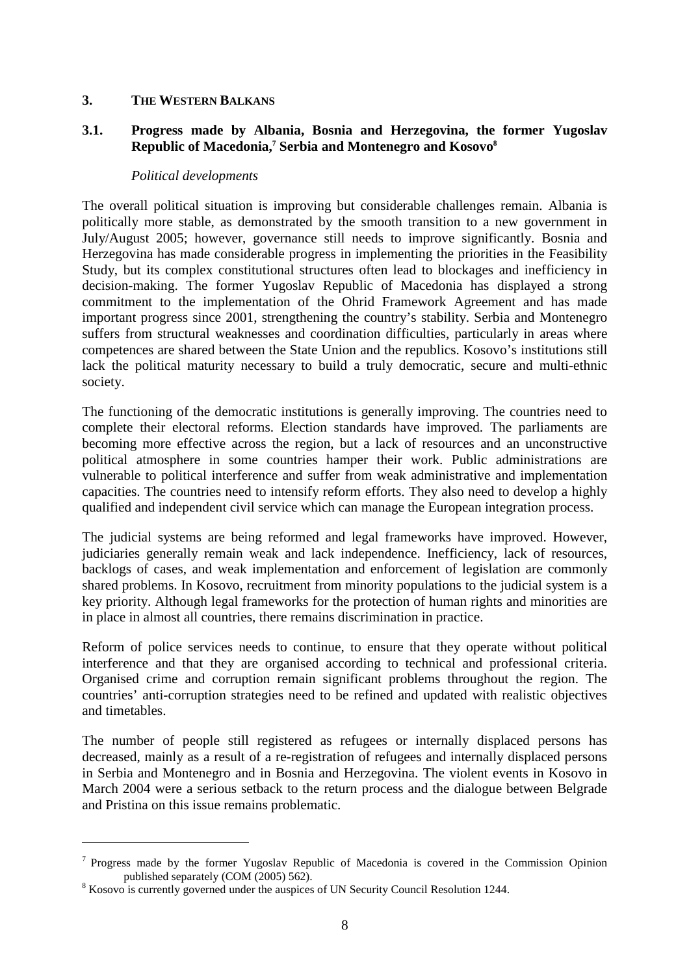### **3. THE WESTERN BALKANS**

### **3.1. Progress made by Albania, Bosnia and Herzegovina, the former Yugoslav Republic of Macedonia,<sup>7</sup> Serbia and Montenegro and Kosovo<sup>8</sup>**

#### *Political developments*

The overall political situation is improving but considerable challenges remain. Albania is politically more stable, as demonstrated by the smooth transition to a new government in July/August 2005; however, governance still needs to improve significantly. Bosnia and Herzegovina has made considerable progress in implementing the priorities in the Feasibility Study, but its complex constitutional structures often lead to blockages and inefficiency in decision-making. The former Yugoslav Republic of Macedonia has displayed a strong commitment to the implementation of the Ohrid Framework Agreement and has made important progress since 2001, strengthening the country's stability. Serbia and Montenegro suffers from structural weaknesses and coordination difficulties, particularly in areas where competences are shared between the State Union and the republics. Kosovo's institutions still lack the political maturity necessary to build a truly democratic, secure and multi-ethnic society.

The functioning of the democratic institutions is generally improving. The countries need to complete their electoral reforms. Election standards have improved. The parliaments are becoming more effective across the region, but a lack of resources and an unconstructive political atmosphere in some countries hamper their work. Public administrations are vulnerable to political interference and suffer from weak administrative and implementation capacities. The countries need to intensify reform efforts. They also need to develop a highly qualified and independent civil service which can manage the European integration process.

The judicial systems are being reformed and legal frameworks have improved. However, judiciaries generally remain weak and lack independence. Inefficiency, lack of resources, backlogs of cases, and weak implementation and enforcement of legislation are commonly shared problems. In Kosovo, recruitment from minority populations to the judicial system is a key priority. Although legal frameworks for the protection of human rights and minorities are in place in almost all countries, there remains discrimination in practice.

Reform of police services needs to continue, to ensure that they operate without political interference and that they are organised according to technical and professional criteria. Organised crime and corruption remain significant problems throughout the region. The countries' anti-corruption strategies need to be refined and updated with realistic objectives and timetables.

The number of people still registered as refugees or internally displaced persons has decreased, mainly as a result of a re-registration of refugees and internally displaced persons in Serbia and Montenegro and in Bosnia and Herzegovina. The violent events in Kosovo in March 2004 were a serious setback to the return process and the dialogue between Belgrade and Pristina on this issue remains problematic.

 $\overline{a}$ 

<sup>&</sup>lt;sup>7</sup> Progress made by the former Yugoslav Republic of Macedonia is covered in the Commission Opinion published separately  $(COM (2005) 562)$ .

<sup>&</sup>lt;sup>8</sup> Kosovo is currently governed under the auspices of UN Security Council Resolution 1244.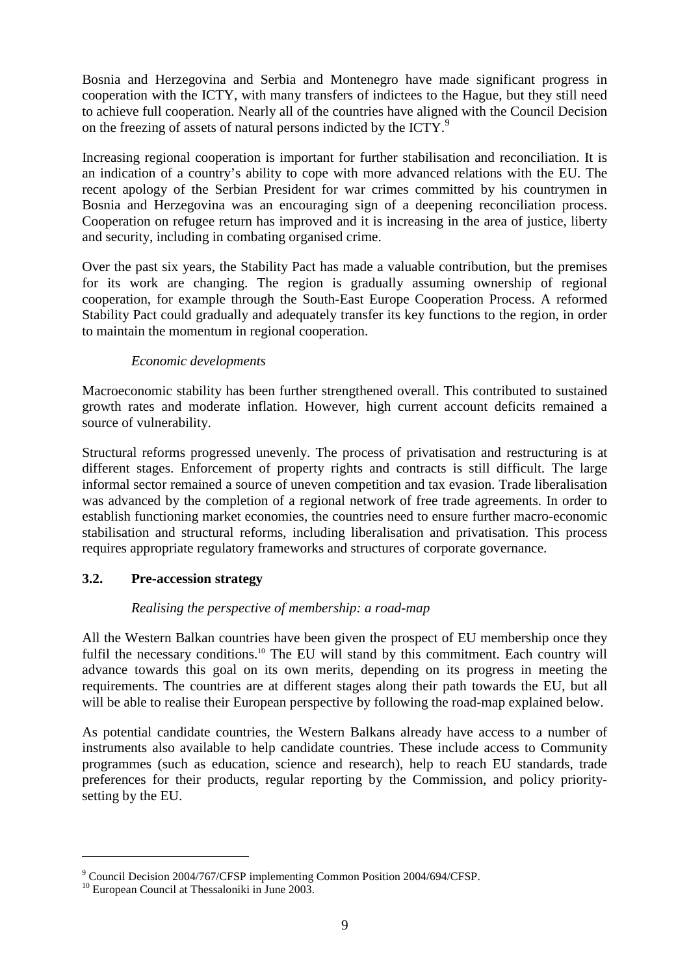Bosnia and Herzegovina and Serbia and Montenegro have made significant progress in cooperation with the ICTY, with many transfers of indictees to the Hague, but they still need to achieve full cooperation. Nearly all of the countries have aligned with the Council Decision on the freezing of assets of natural persons indicted by the ICTY.<sup>9</sup>

Increasing regional cooperation is important for further stabilisation and reconciliation. It is an indication of a country's ability to cope with more advanced relations with the EU. The recent apology of the Serbian President for war crimes committed by his countrymen in Bosnia and Herzegovina was an encouraging sign of a deepening reconciliation process. Cooperation on refugee return has improved and it is increasing in the area of justice, liberty and security, including in combating organised crime.

Over the past six years, the Stability Pact has made a valuable contribution, but the premises for its work are changing. The region is gradually assuming ownership of regional cooperation, for example through the South-East Europe Cooperation Process. A reformed Stability Pact could gradually and adequately transfer its key functions to the region, in order to maintain the momentum in regional cooperation.

# *Economic developments*

Macroeconomic stability has been further strengthened overall. This contributed to sustained growth rates and moderate inflation. However, high current account deficits remained a source of vulnerability.

Structural reforms progressed unevenly. The process of privatisation and restructuring is at different stages. Enforcement of property rights and contracts is still difficult. The large informal sector remained a source of uneven competition and tax evasion. Trade liberalisation was advanced by the completion of a regional network of free trade agreements. In order to establish functioning market economies, the countries need to ensure further macro-economic stabilisation and structural reforms, including liberalisation and privatisation. This process requires appropriate regulatory frameworks and structures of corporate governance.

# **3.2. Pre-accession strategy**

# *Realising the perspective of membership: a road-map*

All the Western Balkan countries have been given the prospect of EU membership once they fulfil the necessary conditions.<sup>10</sup> The EU will stand by this commitment. Each country will advance towards this goal on its own merits, depending on its progress in meeting the requirements. The countries are at different stages along their path towards the EU, but all will be able to realise their European perspective by following the road-map explained below.

As potential candidate countries, the Western Balkans already have access to a number of instruments also available to help candidate countries. These include access to Community programmes (such as education, science and research), help to reach EU standards, trade preferences for their products, regular reporting by the Commission, and policy prioritysetting by the EU.

 $\overline{a}$ 

<sup>&</sup>lt;sup>9</sup> Council Decision 2004/767/CFSP implementing Common Position 2004/694/CFSP.<br><sup>10</sup> European Council at Thessaloniki in June 2003.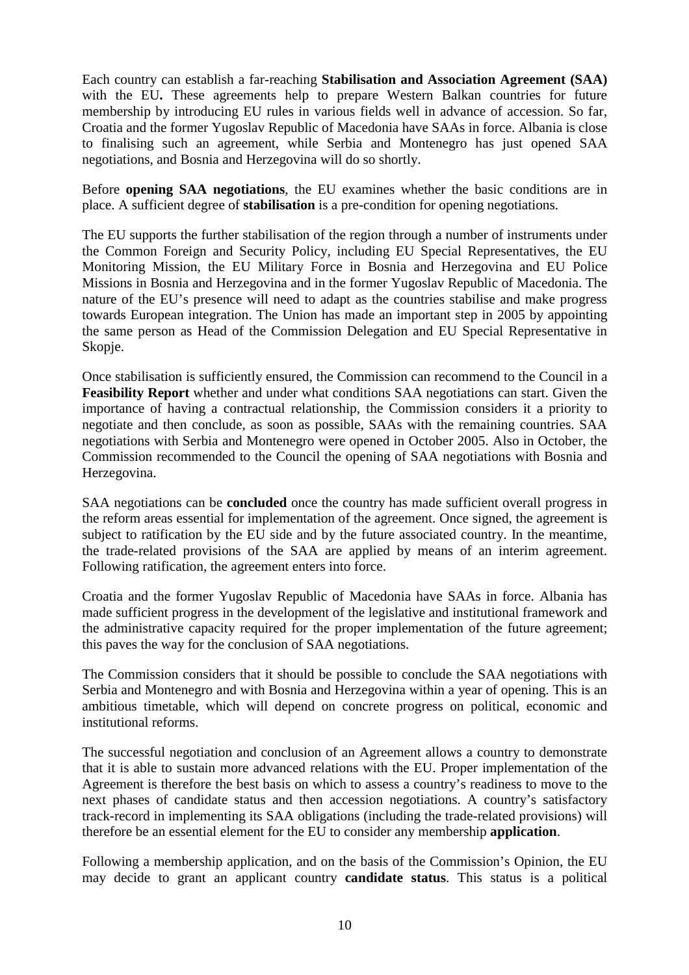Each country can establish a far-reaching **Stabilisation and Association Agreement (SAA)**  with the EU**.** These agreements help to prepare Western Balkan countries for future membership by introducing EU rules in various fields well in advance of accession. So far, Croatia and the former Yugoslav Republic of Macedonia have SAAs in force. Albania is close to finalising such an agreement, while Serbia and Montenegro has just opened SAA negotiations, and Bosnia and Herzegovina will do so shortly.

Before **opening SAA negotiations**, the EU examines whether the basic conditions are in place. A sufficient degree of **stabilisation** is a pre-condition for opening negotiations.

The EU supports the further stabilisation of the region through a number of instruments under the Common Foreign and Security Policy, including EU Special Representatives, the EU Monitoring Mission, the EU Military Force in Bosnia and Herzegovina and EU Police Missions in Bosnia and Herzegovina and in the former Yugoslav Republic of Macedonia. The nature of the EU's presence will need to adapt as the countries stabilise and make progress towards European integration. The Union has made an important step in 2005 by appointing the same person as Head of the Commission Delegation and EU Special Representative in Skopje.

Once stabilisation is sufficiently ensured, the Commission can recommend to the Council in a **Feasibility Report** whether and under what conditions SAA negotiations can start. Given the importance of having a contractual relationship, the Commission considers it a priority to negotiate and then conclude, as soon as possible, SAAs with the remaining countries. SAA negotiations with Serbia and Montenegro were opened in October 2005. Also in October, the Commission recommended to the Council the opening of SAA negotiations with Bosnia and Herzegovina.

SAA negotiations can be **concluded** once the country has made sufficient overall progress in the reform areas essential for implementation of the agreement. Once signed, the agreement is subject to ratification by the EU side and by the future associated country. In the meantime, the trade-related provisions of the SAA are applied by means of an interim agreement. Following ratification, the agreement enters into force.

Croatia and the former Yugoslav Republic of Macedonia have SAAs in force. Albania has made sufficient progress in the development of the legislative and institutional framework and the administrative capacity required for the proper implementation of the future agreement; this paves the way for the conclusion of SAA negotiations.

The Commission considers that it should be possible to conclude the SAA negotiations with Serbia and Montenegro and with Bosnia and Herzegovina within a year of opening. This is an ambitious timetable, which will depend on concrete progress on political, economic and institutional reforms.

The successful negotiation and conclusion of an Agreement allows a country to demonstrate that it is able to sustain more advanced relations with the EU. Proper implementation of the Agreement is therefore the best basis on which to assess a country's readiness to move to the next phases of candidate status and then accession negotiations. A country's satisfactory track-record in implementing its SAA obligations (including the trade-related provisions) will therefore be an essential element for the EU to consider any membership **application**.

Following a membership application, and on the basis of the Commission's Opinion, the EU may decide to grant an applicant country **candidate status**. This status is a political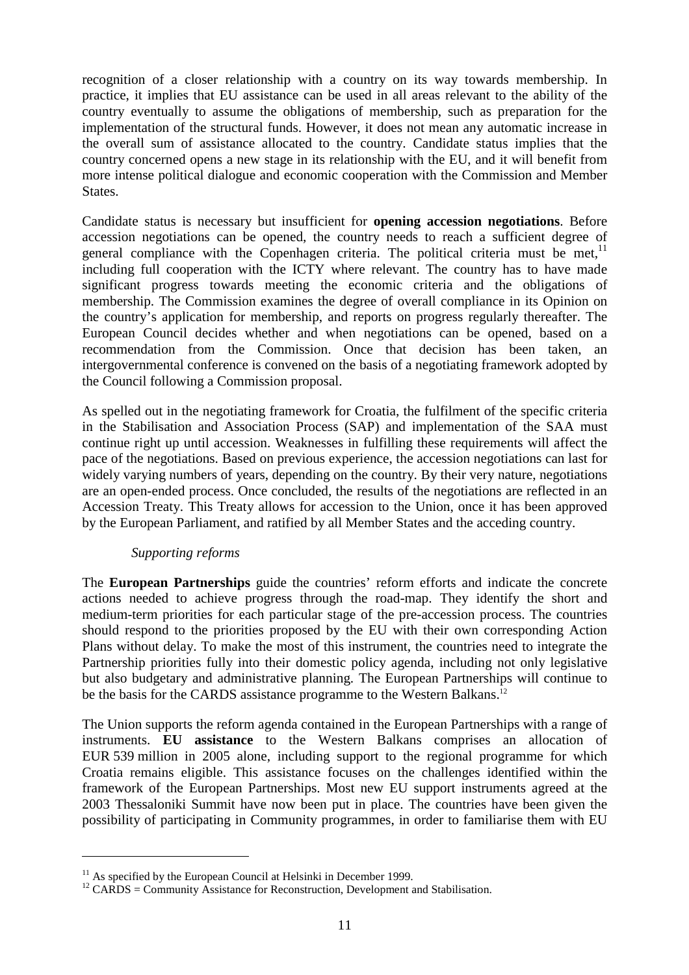recognition of a closer relationship with a country on its way towards membership. In practice, it implies that EU assistance can be used in all areas relevant to the ability of the country eventually to assume the obligations of membership, such as preparation for the implementation of the structural funds. However, it does not mean any automatic increase in the overall sum of assistance allocated to the country. Candidate status implies that the country concerned opens a new stage in its relationship with the EU, and it will benefit from more intense political dialogue and economic cooperation with the Commission and Member States.

Candidate status is necessary but insufficient for **opening accession negotiations**. Before accession negotiations can be opened, the country needs to reach a sufficient degree of general compliance with the Copenhagen criteria. The political criteria must be met, $11$ including full cooperation with the ICTY where relevant. The country has to have made significant progress towards meeting the economic criteria and the obligations of membership. The Commission examines the degree of overall compliance in its Opinion on the country's application for membership, and reports on progress regularly thereafter. The European Council decides whether and when negotiations can be opened, based on a recommendation from the Commission. Once that decision has been taken, an intergovernmental conference is convened on the basis of a negotiating framework adopted by the Council following a Commission proposal.

As spelled out in the negotiating framework for Croatia, the fulfilment of the specific criteria in the Stabilisation and Association Process (SAP) and implementation of the SAA must continue right up until accession. Weaknesses in fulfilling these requirements will affect the pace of the negotiations. Based on previous experience, the accession negotiations can last for widely varying numbers of years, depending on the country. By their very nature, negotiations are an open-ended process. Once concluded, the results of the negotiations are reflected in an Accession Treaty. This Treaty allows for accession to the Union, once it has been approved by the European Parliament, and ratified by all Member States and the acceding country.

# *Supporting reforms*

 $\overline{a}$ 

The **European Partnerships** guide the countries' reform efforts and indicate the concrete actions needed to achieve progress through the road-map. They identify the short and medium-term priorities for each particular stage of the pre-accession process. The countries should respond to the priorities proposed by the EU with their own corresponding Action Plans without delay. To make the most of this instrument, the countries need to integrate the Partnership priorities fully into their domestic policy agenda, including not only legislative but also budgetary and administrative planning. The European Partnerships will continue to be the basis for the CARDS assistance programme to the Western Balkans.<sup>12</sup>

The Union supports the reform agenda contained in the European Partnerships with a range of instruments. **EU assistance** to the Western Balkans comprises an allocation of EUR 539 million in 2005 alone, including support to the regional programme for which Croatia remains eligible. This assistance focuses on the challenges identified within the framework of the European Partnerships. Most new EU support instruments agreed at the 2003 Thessaloniki Summit have now been put in place. The countries have been given the possibility of participating in Community programmes, in order to familiarise them with EU

 $11$  As specified by the European Council at Helsinki in December 1999.

 $12$  CARDS = Community Assistance for Reconstruction, Development and Stabilisation.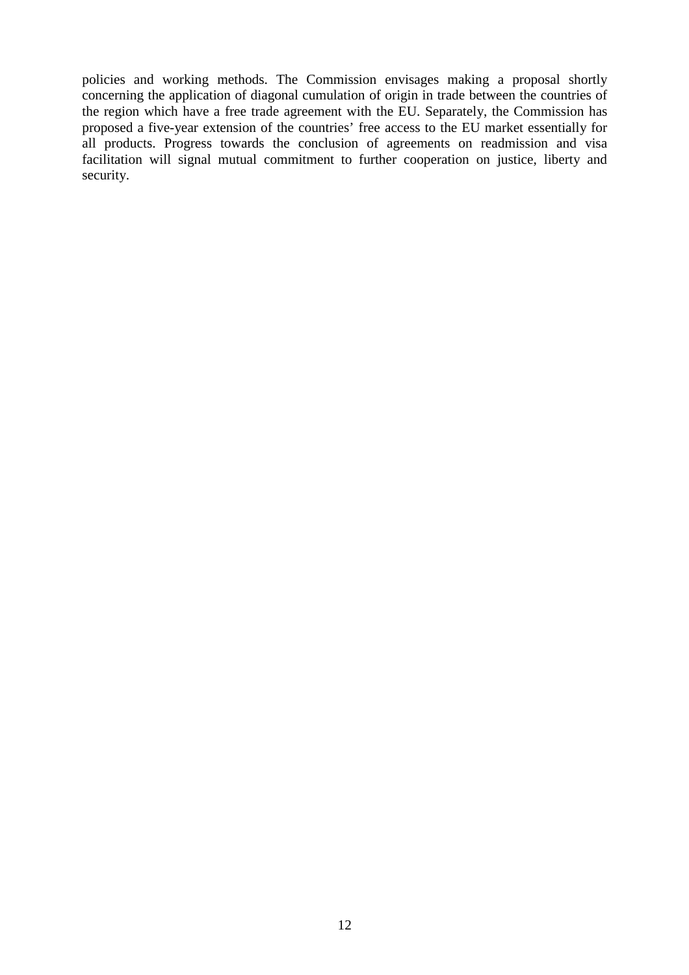policies and working methods. The Commission envisages making a proposal shortly concerning the application of diagonal cumulation of origin in trade between the countries of the region which have a free trade agreement with the EU. Separately, the Commission has proposed a five-year extension of the countries' free access to the EU market essentially for all products. Progress towards the conclusion of agreements on readmission and visa facilitation will signal mutual commitment to further cooperation on justice, liberty and security.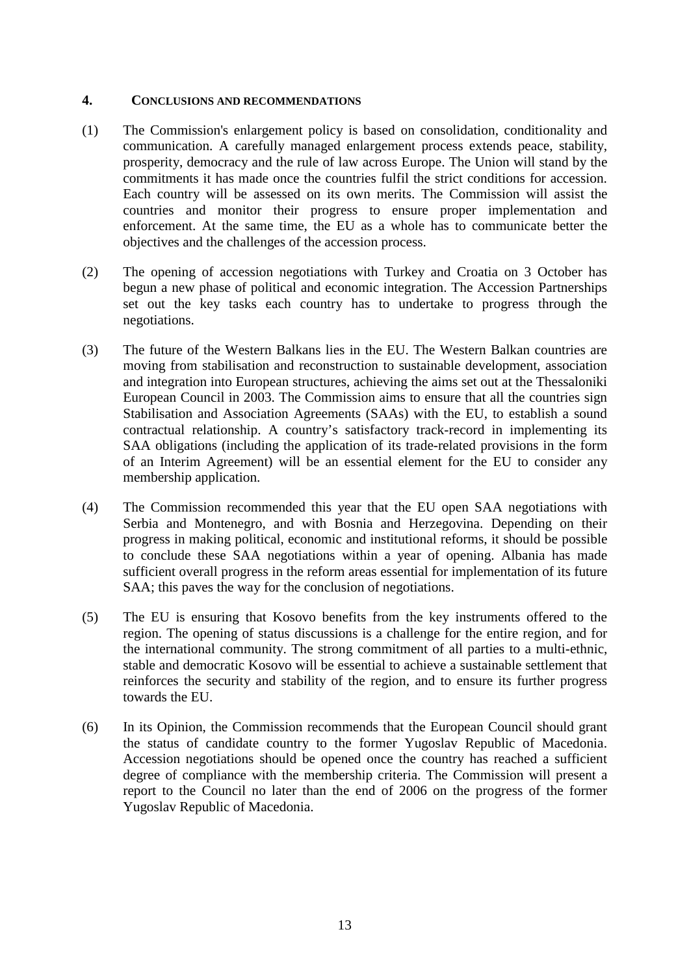#### **4. CONCLUSIONS AND RECOMMENDATIONS**

- (1) The Commission's enlargement policy is based on consolidation, conditionality and communication. A carefully managed enlargement process extends peace, stability, prosperity, democracy and the rule of law across Europe. The Union will stand by the commitments it has made once the countries fulfil the strict conditions for accession. Each country will be assessed on its own merits. The Commission will assist the countries and monitor their progress to ensure proper implementation and enforcement. At the same time, the EU as a whole has to communicate better the objectives and the challenges of the accession process.
- (2) The opening of accession negotiations with Turkey and Croatia on 3 October has begun a new phase of political and economic integration. The Accession Partnerships set out the key tasks each country has to undertake to progress through the negotiations.
- (3) The future of the Western Balkans lies in the EU. The Western Balkan countries are moving from stabilisation and reconstruction to sustainable development, association and integration into European structures, achieving the aims set out at the Thessaloniki European Council in 2003. The Commission aims to ensure that all the countries sign Stabilisation and Association Agreements (SAAs) with the EU, to establish a sound contractual relationship. A country's satisfactory track-record in implementing its SAA obligations (including the application of its trade-related provisions in the form of an Interim Agreement) will be an essential element for the EU to consider any membership application.
- (4) The Commission recommended this year that the EU open SAA negotiations with Serbia and Montenegro, and with Bosnia and Herzegovina. Depending on their progress in making political, economic and institutional reforms, it should be possible to conclude these SAA negotiations within a year of opening. Albania has made sufficient overall progress in the reform areas essential for implementation of its future SAA; this paves the way for the conclusion of negotiations.
- (5) The EU is ensuring that Kosovo benefits from the key instruments offered to the region. The opening of status discussions is a challenge for the entire region, and for the international community. The strong commitment of all parties to a multi-ethnic, stable and democratic Kosovo will be essential to achieve a sustainable settlement that reinforces the security and stability of the region, and to ensure its further progress towards the EU.
- (6) In its Opinion, the Commission recommends that the European Council should grant the status of candidate country to the former Yugoslav Republic of Macedonia. Accession negotiations should be opened once the country has reached a sufficient degree of compliance with the membership criteria. The Commission will present a report to the Council no later than the end of 2006 on the progress of the former Yugoslav Republic of Macedonia.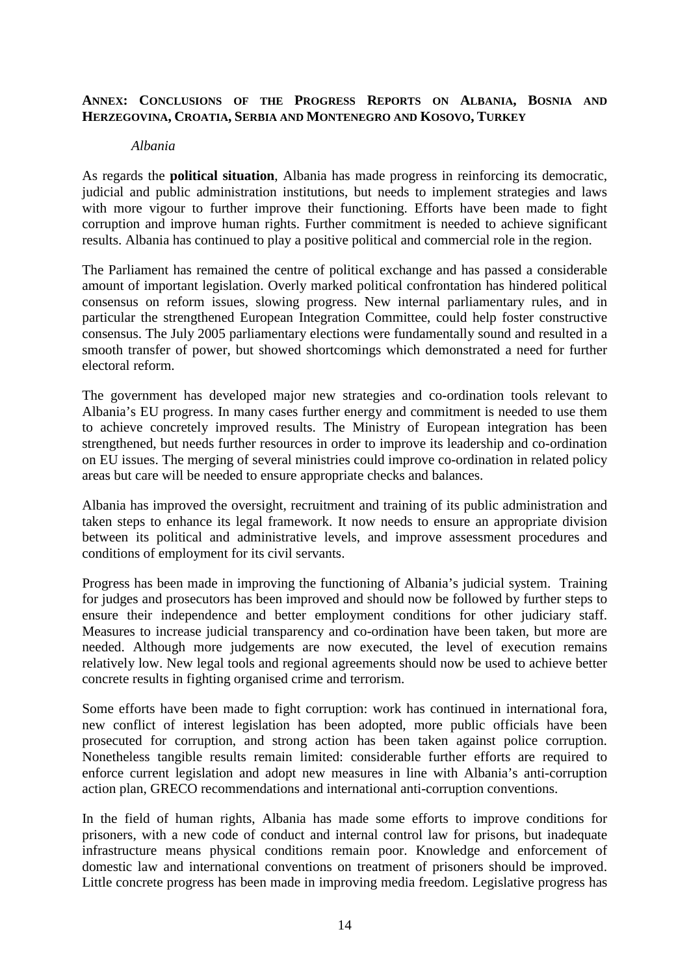### **ANNEX: CONCLUSIONS OF THE PROGRESS REPORTS ON ALBANIA, BOSNIA AND HERZEGOVINA, CROATIA, SERBIA AND MONTENEGRO AND KOSOVO, TURKEY**

#### *Albania*

As regards the **political situation**, Albania has made progress in reinforcing its democratic, judicial and public administration institutions, but needs to implement strategies and laws with more vigour to further improve their functioning. Efforts have been made to fight corruption and improve human rights. Further commitment is needed to achieve significant results. Albania has continued to play a positive political and commercial role in the region.

The Parliament has remained the centre of political exchange and has passed a considerable amount of important legislation. Overly marked political confrontation has hindered political consensus on reform issues, slowing progress. New internal parliamentary rules, and in particular the strengthened European Integration Committee, could help foster constructive consensus. The July 2005 parliamentary elections were fundamentally sound and resulted in a smooth transfer of power, but showed shortcomings which demonstrated a need for further electoral reform.

The government has developed major new strategies and co-ordination tools relevant to Albania's EU progress. In many cases further energy and commitment is needed to use them to achieve concretely improved results. The Ministry of European integration has been strengthened, but needs further resources in order to improve its leadership and co-ordination on EU issues. The merging of several ministries could improve co-ordination in related policy areas but care will be needed to ensure appropriate checks and balances.

Albania has improved the oversight, recruitment and training of its public administration and taken steps to enhance its legal framework. It now needs to ensure an appropriate division between its political and administrative levels, and improve assessment procedures and conditions of employment for its civil servants.

Progress has been made in improving the functioning of Albania's judicial system. Training for judges and prosecutors has been improved and should now be followed by further steps to ensure their independence and better employment conditions for other judiciary staff. Measures to increase judicial transparency and co-ordination have been taken, but more are needed. Although more judgements are now executed, the level of execution remains relatively low. New legal tools and regional agreements should now be used to achieve better concrete results in fighting organised crime and terrorism.

Some efforts have been made to fight corruption: work has continued in international fora, new conflict of interest legislation has been adopted, more public officials have been prosecuted for corruption, and strong action has been taken against police corruption. Nonetheless tangible results remain limited: considerable further efforts are required to enforce current legislation and adopt new measures in line with Albania's anti-corruption action plan, GRECO recommendations and international anti-corruption conventions.

In the field of human rights, Albania has made some efforts to improve conditions for prisoners, with a new code of conduct and internal control law for prisons, but inadequate infrastructure means physical conditions remain poor. Knowledge and enforcement of domestic law and international conventions on treatment of prisoners should be improved. Little concrete progress has been made in improving media freedom. Legislative progress has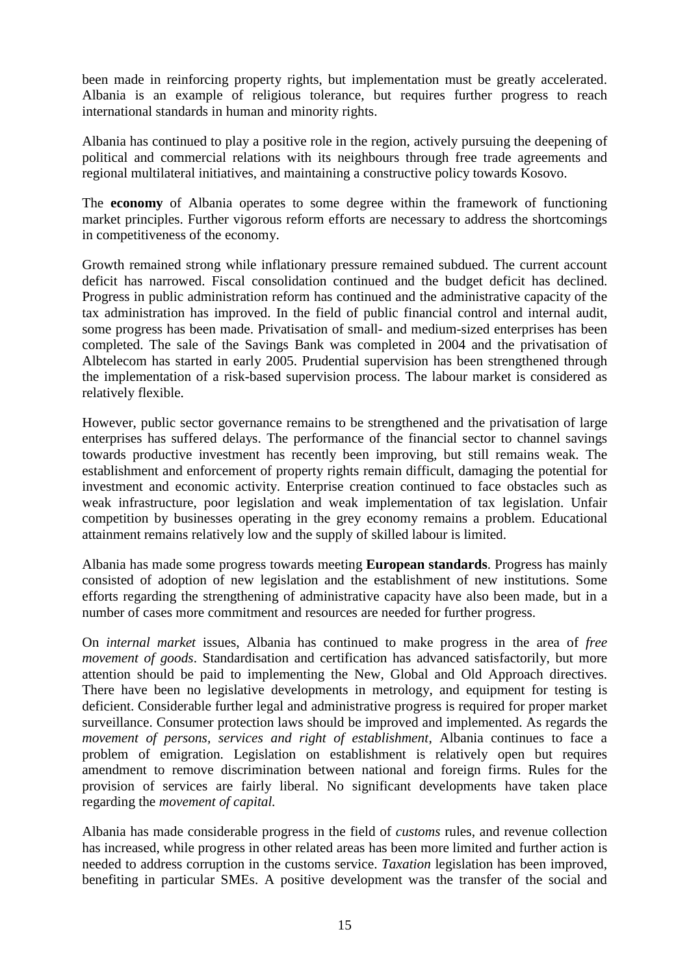been made in reinforcing property rights, but implementation must be greatly accelerated. Albania is an example of religious tolerance, but requires further progress to reach international standards in human and minority rights.

Albania has continued to play a positive role in the region, actively pursuing the deepening of political and commercial relations with its neighbours through free trade agreements and regional multilateral initiatives, and maintaining a constructive policy towards Kosovo.

The **economy** of Albania operates to some degree within the framework of functioning market principles. Further vigorous reform efforts are necessary to address the shortcomings in competitiveness of the economy.

Growth remained strong while inflationary pressure remained subdued. The current account deficit has narrowed. Fiscal consolidation continued and the budget deficit has declined. Progress in public administration reform has continued and the administrative capacity of the tax administration has improved. In the field of public financial control and internal audit, some progress has been made. Privatisation of small- and medium-sized enterprises has been completed. The sale of the Savings Bank was completed in 2004 and the privatisation of Albtelecom has started in early 2005. Prudential supervision has been strengthened through the implementation of a risk-based supervision process. The labour market is considered as relatively flexible.

However, public sector governance remains to be strengthened and the privatisation of large enterprises has suffered delays. The performance of the financial sector to channel savings towards productive investment has recently been improving, but still remains weak. The establishment and enforcement of property rights remain difficult, damaging the potential for investment and economic activity. Enterprise creation continued to face obstacles such as weak infrastructure, poor legislation and weak implementation of tax legislation. Unfair competition by businesses operating in the grey economy remains a problem. Educational attainment remains relatively low and the supply of skilled labour is limited.

Albania has made some progress towards meeting **European standards**. Progress has mainly consisted of adoption of new legislation and the establishment of new institutions. Some efforts regarding the strengthening of administrative capacity have also been made, but in a number of cases more commitment and resources are needed for further progress.

On *internal market* issues, Albania has continued to make progress in the area of *free movement of goods*. Standardisation and certification has advanced satisfactorily, but more attention should be paid to implementing the New, Global and Old Approach directives. There have been no legislative developments in metrology, and equipment for testing is deficient. Considerable further legal and administrative progress is required for proper market surveillance. Consumer protection laws should be improved and implemented. As regards the *movement of persons, services and right of establishment*, Albania continues to face a problem of emigration. Legislation on establishment is relatively open but requires amendment to remove discrimination between national and foreign firms. Rules for the provision of services are fairly liberal. No significant developments have taken place regarding the *movement of capital.*

Albania has made considerable progress in the field of *customs* rules, and revenue collection has increased, while progress in other related areas has been more limited and further action is needed to address corruption in the customs service. *Taxation* legislation has been improved, benefiting in particular SMEs. A positive development was the transfer of the social and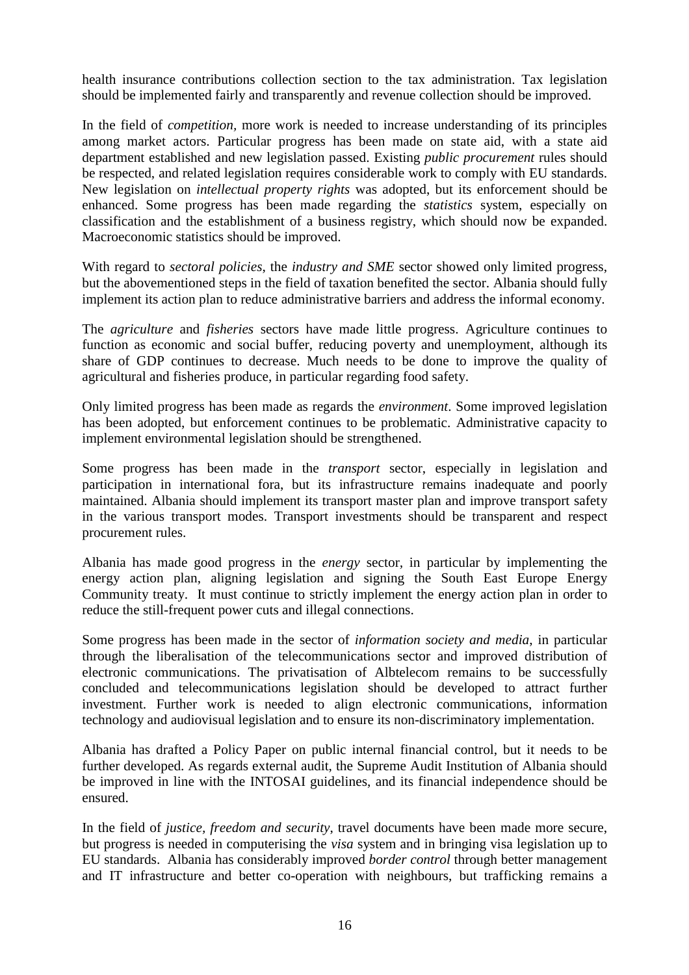health insurance contributions collection section to the tax administration. Tax legislation should be implemented fairly and transparently and revenue collection should be improved.

In the field of *competition,* more work is needed to increase understanding of its principles among market actors. Particular progress has been made on state aid, with a state aid department established and new legislation passed. Existing *public procurement* rules should be respected, and related legislation requires considerable work to comply with EU standards. New legislation on *intellectual property rights* was adopted, but its enforcement should be enhanced. Some progress has been made regarding the *statistics* system, especially on classification and the establishment of a business registry, which should now be expanded. Macroeconomic statistics should be improved.

With regard to *sectoral policies*, the *industry and SME* sector showed only limited progress, but the abovementioned steps in the field of taxation benefited the sector. Albania should fully implement its action plan to reduce administrative barriers and address the informal economy.

The *agriculture* and *fisheries* sectors have made little progress. Agriculture continues to function as economic and social buffer, reducing poverty and unemployment, although its share of GDP continues to decrease. Much needs to be done to improve the quality of agricultural and fisheries produce, in particular regarding food safety.

Only limited progress has been made as regards the *environment*. Some improved legislation has been adopted, but enforcement continues to be problematic. Administrative capacity to implement environmental legislation should be strengthened.

Some progress has been made in the *transport* sector, especially in legislation and participation in international fora, but its infrastructure remains inadequate and poorly maintained. Albania should implement its transport master plan and improve transport safety in the various transport modes. Transport investments should be transparent and respect procurement rules.

Albania has made good progress in the *energy* sector*,* in particular by implementing the energy action plan, aligning legislation and signing the South East Europe Energy Community treaty. It must continue to strictly implement the energy action plan in order to reduce the still-frequent power cuts and illegal connections.

Some progress has been made in the sector of *information society and media*, in particular through the liberalisation of the telecommunications sector and improved distribution of electronic communications. The privatisation of Albtelecom remains to be successfully concluded and telecommunications legislation should be developed to attract further investment. Further work is needed to align electronic communications, information technology and audiovisual legislation and to ensure its non-discriminatory implementation.

Albania has drafted a Policy Paper on public internal financial control, but it needs to be further developed. As regards external audit, the Supreme Audit Institution of Albania should be improved in line with the INTOSAI guidelines, and its financial independence should be ensured.

In the field of *justice, freedom and security*, travel documents have been made more secure, but progress is needed in computerising the *visa* system and in bringing visa legislation up to EU standards. Albania has considerably improved *border control* through better management and IT infrastructure and better co-operation with neighbours, but trafficking remains a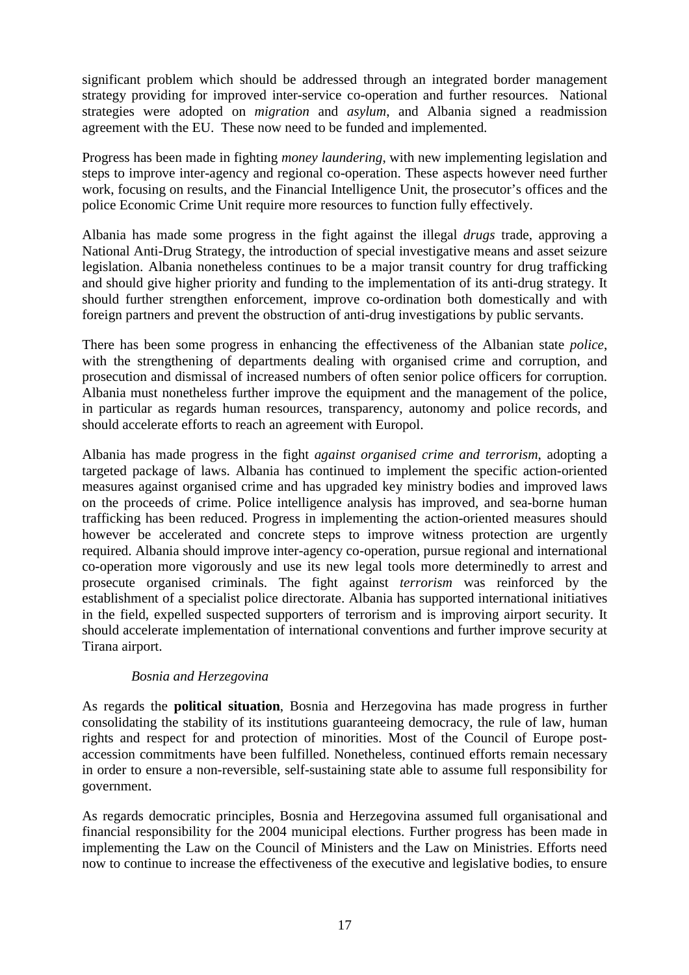significant problem which should be addressed through an integrated border management strategy providing for improved inter-service co-operation and further resources. National strategies were adopted on *migration* and *asylum*, and Albania signed a readmission agreement with the EU. These now need to be funded and implemented.

Progress has been made in fighting *money laundering*, with new implementing legislation and steps to improve inter-agency and regional co-operation. These aspects however need further work, focusing on results, and the Financial Intelligence Unit, the prosecutor's offices and the police Economic Crime Unit require more resources to function fully effectively.

Albania has made some progress in the fight against the illegal *drugs* trade, approving a National Anti-Drug Strategy, the introduction of special investigative means and asset seizure legislation. Albania nonetheless continues to be a major transit country for drug trafficking and should give higher priority and funding to the implementation of its anti-drug strategy. It should further strengthen enforcement, improve co-ordination both domestically and with foreign partners and prevent the obstruction of anti-drug investigations by public servants.

There has been some progress in enhancing the effectiveness of the Albanian state *police*, with the strengthening of departments dealing with organised crime and corruption, and prosecution and dismissal of increased numbers of often senior police officers for corruption. Albania must nonetheless further improve the equipment and the management of the police, in particular as regards human resources, transparency, autonomy and police records, and should accelerate efforts to reach an agreement with Europol.

Albania has made progress in the fight *against organised crime and terrorism*, adopting a targeted package of laws. Albania has continued to implement the specific action-oriented measures against organised crime and has upgraded key ministry bodies and improved laws on the proceeds of crime. Police intelligence analysis has improved, and sea-borne human trafficking has been reduced. Progress in implementing the action-oriented measures should however be accelerated and concrete steps to improve witness protection are urgently required. Albania should improve inter-agency co-operation, pursue regional and international co-operation more vigorously and use its new legal tools more determinedly to arrest and prosecute organised criminals. The fight against *terrorism* was reinforced by the establishment of a specialist police directorate. Albania has supported international initiatives in the field, expelled suspected supporters of terrorism and is improving airport security. It should accelerate implementation of international conventions and further improve security at Tirana airport.

# *Bosnia and Herzegovina*

As regards the **political situation**, Bosnia and Herzegovina has made progress in further consolidating the stability of its institutions guaranteeing democracy, the rule of law, human rights and respect for and protection of minorities. Most of the Council of Europe postaccession commitments have been fulfilled. Nonetheless, continued efforts remain necessary in order to ensure a non-reversible, self-sustaining state able to assume full responsibility for government.

As regards democratic principles, Bosnia and Herzegovina assumed full organisational and financial responsibility for the 2004 municipal elections. Further progress has been made in implementing the Law on the Council of Ministers and the Law on Ministries. Efforts need now to continue to increase the effectiveness of the executive and legislative bodies, to ensure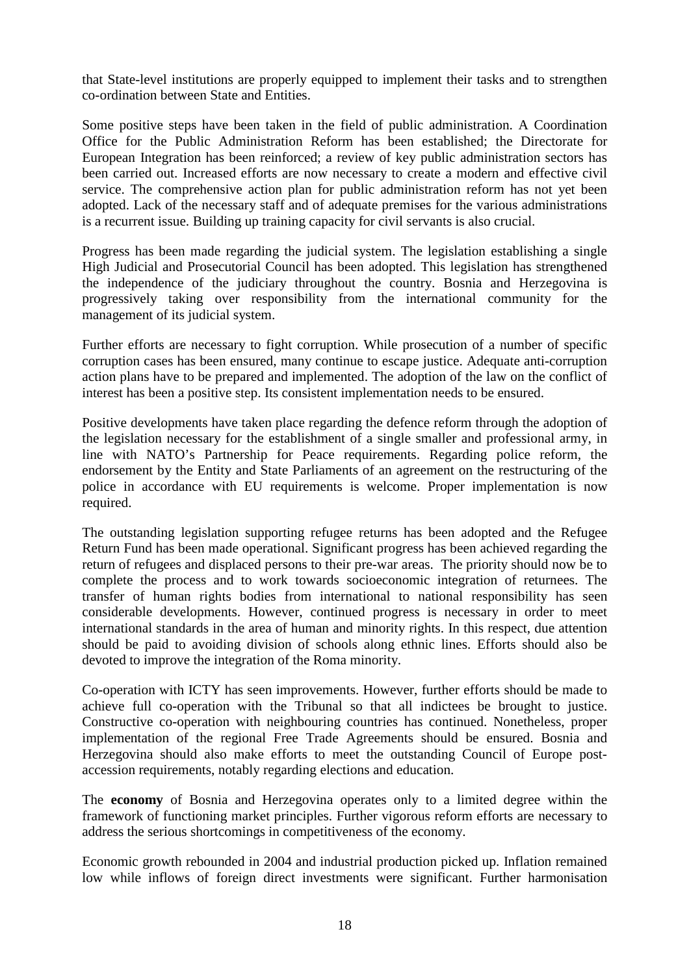that State-level institutions are properly equipped to implement their tasks and to strengthen co-ordination between State and Entities.

Some positive steps have been taken in the field of public administration. A Coordination Office for the Public Administration Reform has been established; the Directorate for European Integration has been reinforced; a review of key public administration sectors has been carried out. Increased efforts are now necessary to create a modern and effective civil service. The comprehensive action plan for public administration reform has not yet been adopted. Lack of the necessary staff and of adequate premises for the various administrations is a recurrent issue. Building up training capacity for civil servants is also crucial.

Progress has been made regarding the judicial system. The legislation establishing a single High Judicial and Prosecutorial Council has been adopted. This legislation has strengthened the independence of the judiciary throughout the country. Bosnia and Herzegovina is progressively taking over responsibility from the international community for the management of its judicial system.

Further efforts are necessary to fight corruption. While prosecution of a number of specific corruption cases has been ensured, many continue to escape justice. Adequate anti-corruption action plans have to be prepared and implemented. The adoption of the law on the conflict of interest has been a positive step. Its consistent implementation needs to be ensured.

Positive developments have taken place regarding the defence reform through the adoption of the legislation necessary for the establishment of a single smaller and professional army, in line with NATO's Partnership for Peace requirements. Regarding police reform, the endorsement by the Entity and State Parliaments of an agreement on the restructuring of the police in accordance with EU requirements is welcome. Proper implementation is now required.

The outstanding legislation supporting refugee returns has been adopted and the Refugee Return Fund has been made operational. Significant progress has been achieved regarding the return of refugees and displaced persons to their pre-war areas. The priority should now be to complete the process and to work towards socioeconomic integration of returnees. The transfer of human rights bodies from international to national responsibility has seen considerable developments. However, continued progress is necessary in order to meet international standards in the area of human and minority rights. In this respect, due attention should be paid to avoiding division of schools along ethnic lines. Efforts should also be devoted to improve the integration of the Roma minority.

Co-operation with ICTY has seen improvements. However, further efforts should be made to achieve full co-operation with the Tribunal so that all indictees be brought to justice. Constructive co-operation with neighbouring countries has continued. Nonetheless, proper implementation of the regional Free Trade Agreements should be ensured. Bosnia and Herzegovina should also make efforts to meet the outstanding Council of Europe postaccession requirements, notably regarding elections and education.

The **economy** of Bosnia and Herzegovina operates only to a limited degree within the framework of functioning market principles. Further vigorous reform efforts are necessary to address the serious shortcomings in competitiveness of the economy.

Economic growth rebounded in 2004 and industrial production picked up. Inflation remained low while inflows of foreign direct investments were significant. Further harmonisation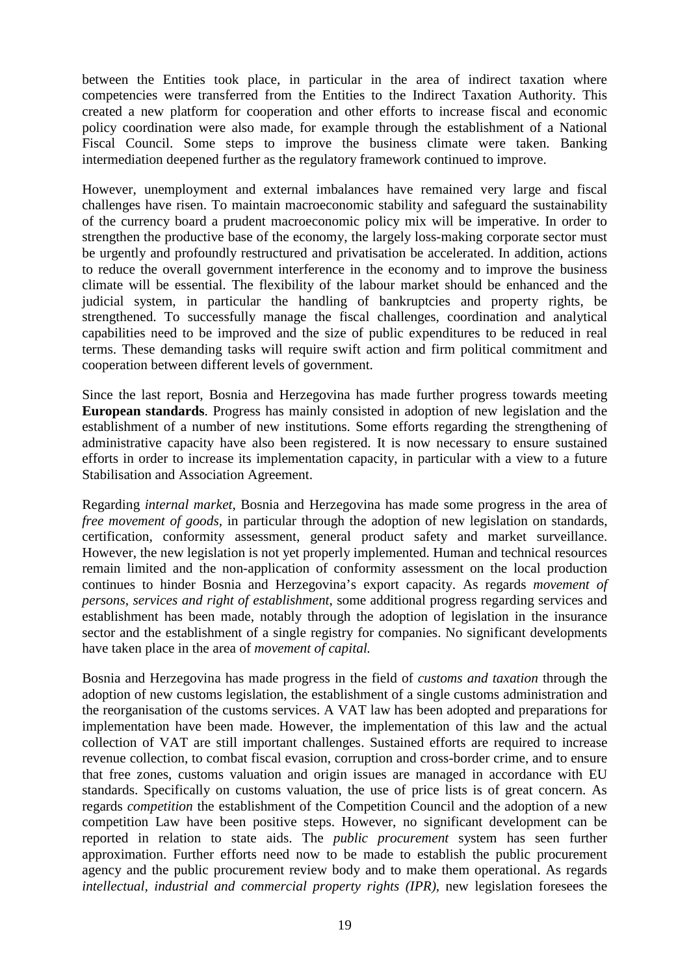between the Entities took place, in particular in the area of indirect taxation where competencies were transferred from the Entities to the Indirect Taxation Authority. This created a new platform for cooperation and other efforts to increase fiscal and economic policy coordination were also made, for example through the establishment of a National Fiscal Council. Some steps to improve the business climate were taken. Banking intermediation deepened further as the regulatory framework continued to improve.

However, unemployment and external imbalances have remained very large and fiscal challenges have risen. To maintain macroeconomic stability and safeguard the sustainability of the currency board a prudent macroeconomic policy mix will be imperative. In order to strengthen the productive base of the economy, the largely loss-making corporate sector must be urgently and profoundly restructured and privatisation be accelerated. In addition, actions to reduce the overall government interference in the economy and to improve the business climate will be essential. The flexibility of the labour market should be enhanced and the judicial system, in particular the handling of bankruptcies and property rights, be strengthened. To successfully manage the fiscal challenges, coordination and analytical capabilities need to be improved and the size of public expenditures to be reduced in real terms. These demanding tasks will require swift action and firm political commitment and cooperation between different levels of government.

Since the last report, Bosnia and Herzegovina has made further progress towards meeting **European standards**. Progress has mainly consisted in adoption of new legislation and the establishment of a number of new institutions. Some efforts regarding the strengthening of administrative capacity have also been registered. It is now necessary to ensure sustained efforts in order to increase its implementation capacity, in particular with a view to a future Stabilisation and Association Agreement.

Regarding *internal market*, Bosnia and Herzegovina has made some progress in the area of *free movement of goods, in particular through the adoption of new legislation on standards,* certification, conformity assessment, general product safety and market surveillance. However, the new legislation is not yet properly implemented. Human and technical resources remain limited and the non-application of conformity assessment on the local production continues to hinder Bosnia and Herzegovina's export capacity. As regards *movement of persons, services and right of establishment*, some additional progress regarding services and establishment has been made, notably through the adoption of legislation in the insurance sector and the establishment of a single registry for companies. No significant developments have taken place in the area of *movement of capital.* 

Bosnia and Herzegovina has made progress in the field of *customs and taxation* through the adoption of new customs legislation, the establishment of a single customs administration and the reorganisation of the customs services. A VAT law has been adopted and preparations for implementation have been made. However, the implementation of this law and the actual collection of VAT are still important challenges. Sustained efforts are required to increase revenue collection, to combat fiscal evasion, corruption and cross-border crime, and to ensure that free zones, customs valuation and origin issues are managed in accordance with EU standards. Specifically on customs valuation, the use of price lists is of great concern. As regards *competition* the establishment of the Competition Council and the adoption of a new competition Law have been positive steps. However, no significant development can be reported in relation to state aids. The *public procurement* system has seen further approximation. Further efforts need now to be made to establish the public procurement agency and the public procurement review body and to make them operational. As regards *intellectual, industrial and commercial property rights (IPR), new legislation foresees the*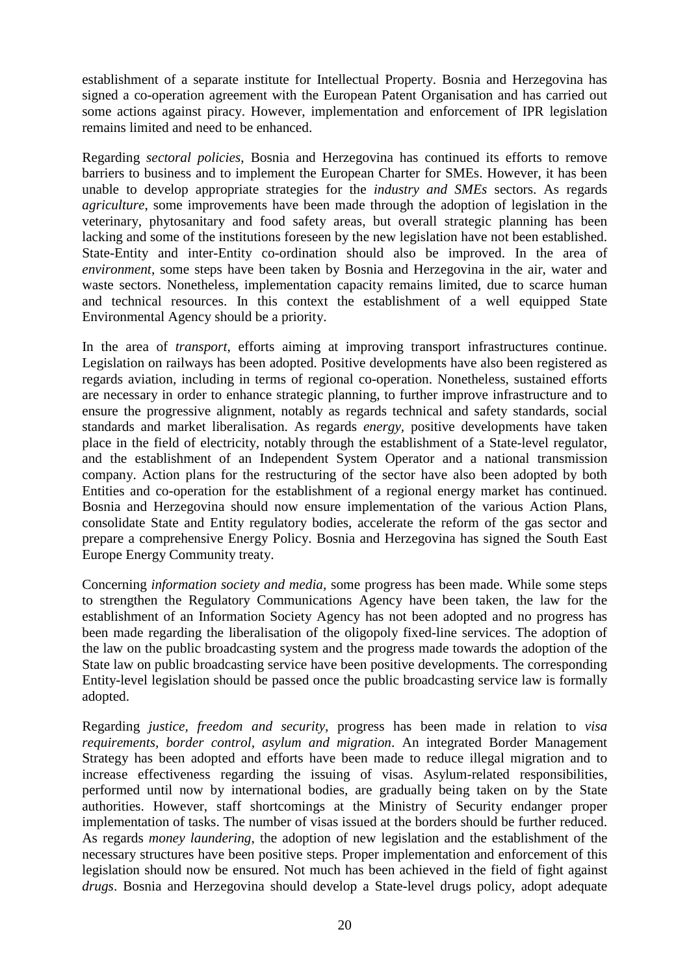establishment of a separate institute for Intellectual Property. Bosnia and Herzegovina has signed a co-operation agreement with the European Patent Organisation and has carried out some actions against piracy. However, implementation and enforcement of IPR legislation remains limited and need to be enhanced.

Regarding *sectoral policies*, Bosnia and Herzegovina has continued its efforts to remove barriers to business and to implement the European Charter for SMEs. However, it has been unable to develop appropriate strategies for the *industry and SMEs* sectors. As regards *agriculture*, some improvements have been made through the adoption of legislation in the veterinary, phytosanitary and food safety areas, but overall strategic planning has been lacking and some of the institutions foreseen by the new legislation have not been established. State-Entity and inter-Entity co-ordination should also be improved. In the area of *environment*, some steps have been taken by Bosnia and Herzegovina in the air, water and waste sectors. Nonetheless, implementation capacity remains limited, due to scarce human and technical resources. In this context the establishment of a well equipped State Environmental Agency should be a priority.

In the area of *transport*, efforts aiming at improving transport infrastructures continue. Legislation on railways has been adopted. Positive developments have also been registered as regards aviation, including in terms of regional co-operation. Nonetheless, sustained efforts are necessary in order to enhance strategic planning, to further improve infrastructure and to ensure the progressive alignment, notably as regards technical and safety standards, social standards and market liberalisation. As regards *energy,* positive developments have taken place in the field of electricity, notably through the establishment of a State-level regulator, and the establishment of an Independent System Operator and a national transmission company. Action plans for the restructuring of the sector have also been adopted by both Entities and co-operation for the establishment of a regional energy market has continued. Bosnia and Herzegovina should now ensure implementation of the various Action Plans, consolidate State and Entity regulatory bodies, accelerate the reform of the gas sector and prepare a comprehensive Energy Policy. Bosnia and Herzegovina has signed the South East Europe Energy Community treaty.

Concerning *information society and media*, some progress has been made. While some steps to strengthen the Regulatory Communications Agency have been taken, the law for the establishment of an Information Society Agency has not been adopted and no progress has been made regarding the liberalisation of the oligopoly fixed-line services. The adoption of the law on the public broadcasting system and the progress made towards the adoption of the State law on public broadcasting service have been positive developments. The corresponding Entity-level legislation should be passed once the public broadcasting service law is formally adopted.

Regarding *justice, freedom and security*, progress has been made in relation to *visa requirements, border control, asylum and migration*. An integrated Border Management Strategy has been adopted and efforts have been made to reduce illegal migration and to increase effectiveness regarding the issuing of visas. Asylum-related responsibilities, performed until now by international bodies, are gradually being taken on by the State authorities. However, staff shortcomings at the Ministry of Security endanger proper implementation of tasks. The number of visas issued at the borders should be further reduced. As regards *money laundering*, the adoption of new legislation and the establishment of the necessary structures have been positive steps. Proper implementation and enforcement of this legislation should now be ensured. Not much has been achieved in the field of fight against *drugs*. Bosnia and Herzegovina should develop a State-level drugs policy, adopt adequate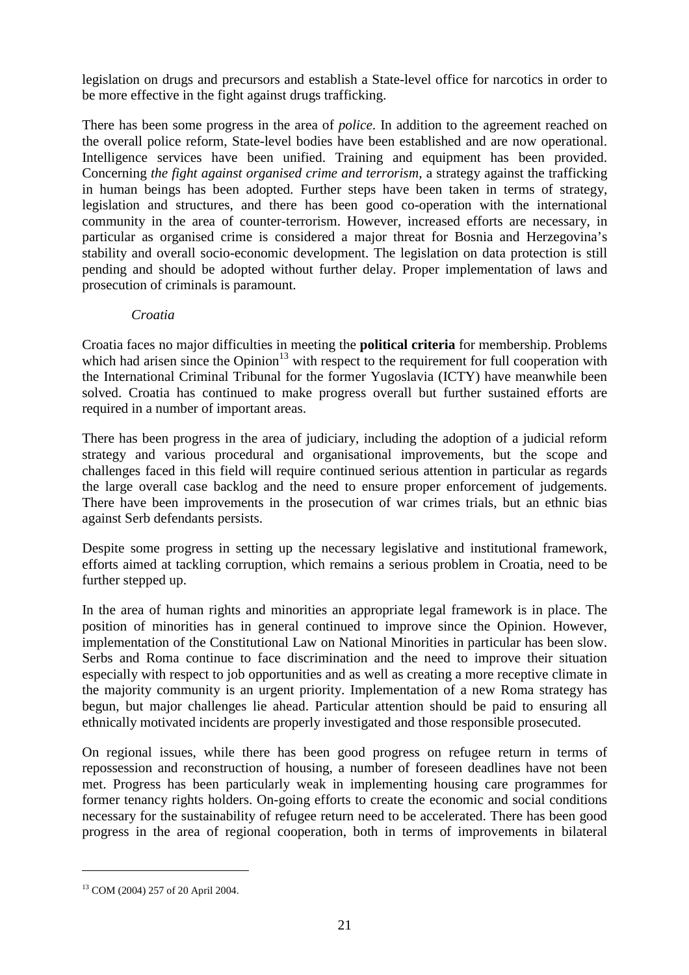legislation on drugs and precursors and establish a State-level office for narcotics in order to be more effective in the fight against drugs trafficking.

There has been some progress in the area of *police*. In addition to the agreement reached on the overall police reform, State-level bodies have been established and are now operational. Intelligence services have been unified. Training and equipment has been provided. Concerning *the fight against organised crime and terrorism*, a strategy against the trafficking in human beings has been adopted. Further steps have been taken in terms of strategy, legislation and structures, and there has been good co-operation with the international community in the area of counter-terrorism. However, increased efforts are necessary, in particular as organised crime is considered a major threat for Bosnia and Herzegovina's stability and overall socio-economic development. The legislation on data protection is still pending and should be adopted without further delay. Proper implementation of laws and prosecution of criminals is paramount.

#### *Croatia*

Croatia faces no major difficulties in meeting the **political criteria** for membership. Problems which had arisen since the Opinion<sup>13</sup> with respect to the requirement for full cooperation with the International Criminal Tribunal for the former Yugoslavia (ICTY) have meanwhile been solved. Croatia has continued to make progress overall but further sustained efforts are required in a number of important areas.

There has been progress in the area of judiciary, including the adoption of a judicial reform strategy and various procedural and organisational improvements, but the scope and challenges faced in this field will require continued serious attention in particular as regards the large overall case backlog and the need to ensure proper enforcement of judgements. There have been improvements in the prosecution of war crimes trials, but an ethnic bias against Serb defendants persists.

Despite some progress in setting up the necessary legislative and institutional framework, efforts aimed at tackling corruption, which remains a serious problem in Croatia, need to be further stepped up.

In the area of human rights and minorities an appropriate legal framework is in place. The position of minorities has in general continued to improve since the Opinion. However, implementation of the Constitutional Law on National Minorities in particular has been slow. Serbs and Roma continue to face discrimination and the need to improve their situation especially with respect to job opportunities and as well as creating a more receptive climate in the majority community is an urgent priority. Implementation of a new Roma strategy has begun, but major challenges lie ahead. Particular attention should be paid to ensuring all ethnically motivated incidents are properly investigated and those responsible prosecuted.

On regional issues, while there has been good progress on refugee return in terms of repossession and reconstruction of housing, a number of foreseen deadlines have not been met. Progress has been particularly weak in implementing housing care programmes for former tenancy rights holders. On-going efforts to create the economic and social conditions necessary for the sustainability of refugee return need to be accelerated. There has been good progress in the area of regional cooperation, both in terms of improvements in bilateral

 $\overline{a}$ 

<sup>13</sup> COM (2004) 257 of 20 April 2004.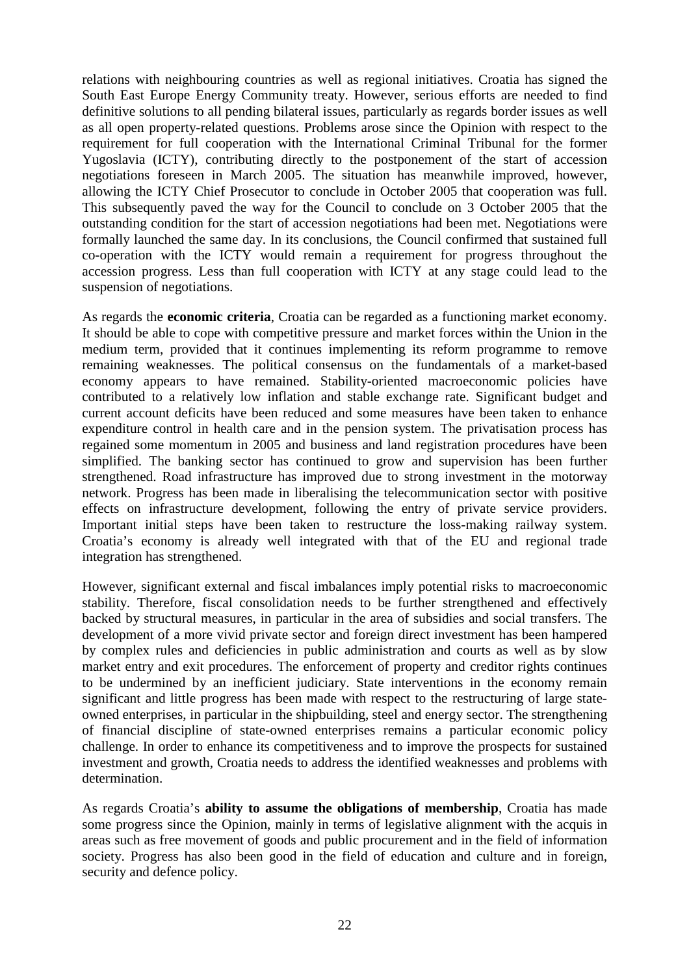relations with neighbouring countries as well as regional initiatives. Croatia has signed the South East Europe Energy Community treaty. However, serious efforts are needed to find definitive solutions to all pending bilateral issues, particularly as regards border issues as well as all open property-related questions. Problems arose since the Opinion with respect to the requirement for full cooperation with the International Criminal Tribunal for the former Yugoslavia (ICTY), contributing directly to the postponement of the start of accession negotiations foreseen in March 2005. The situation has meanwhile improved, however, allowing the ICTY Chief Prosecutor to conclude in October 2005 that cooperation was full. This subsequently paved the way for the Council to conclude on 3 October 2005 that the outstanding condition for the start of accession negotiations had been met. Negotiations were formally launched the same day. In its conclusions, the Council confirmed that sustained full co-operation with the ICTY would remain a requirement for progress throughout the accession progress. Less than full cooperation with ICTY at any stage could lead to the suspension of negotiations.

As regards the **economic criteria**, Croatia can be regarded as a functioning market economy. It should be able to cope with competitive pressure and market forces within the Union in the medium term, provided that it continues implementing its reform programme to remove remaining weaknesses. The political consensus on the fundamentals of a market-based economy appears to have remained. Stability-oriented macroeconomic policies have contributed to a relatively low inflation and stable exchange rate. Significant budget and current account deficits have been reduced and some measures have been taken to enhance expenditure control in health care and in the pension system. The privatisation process has regained some momentum in 2005 and business and land registration procedures have been simplified. The banking sector has continued to grow and supervision has been further strengthened. Road infrastructure has improved due to strong investment in the motorway network. Progress has been made in liberalising the telecommunication sector with positive effects on infrastructure development, following the entry of private service providers. Important initial steps have been taken to restructure the loss-making railway system. Croatia's economy is already well integrated with that of the EU and regional trade integration has strengthened.

However, significant external and fiscal imbalances imply potential risks to macroeconomic stability. Therefore, fiscal consolidation needs to be further strengthened and effectively backed by structural measures, in particular in the area of subsidies and social transfers. The development of a more vivid private sector and foreign direct investment has been hampered by complex rules and deficiencies in public administration and courts as well as by slow market entry and exit procedures. The enforcement of property and creditor rights continues to be undermined by an inefficient judiciary. State interventions in the economy remain significant and little progress has been made with respect to the restructuring of large stateowned enterprises, in particular in the shipbuilding, steel and energy sector. The strengthening of financial discipline of state-owned enterprises remains a particular economic policy challenge. In order to enhance its competitiveness and to improve the prospects for sustained investment and growth, Croatia needs to address the identified weaknesses and problems with determination.

As regards Croatia's **ability to assume the obligations of membership**, Croatia has made some progress since the Opinion, mainly in terms of legislative alignment with the acquis in areas such as free movement of goods and public procurement and in the field of information society. Progress has also been good in the field of education and culture and in foreign, security and defence policy.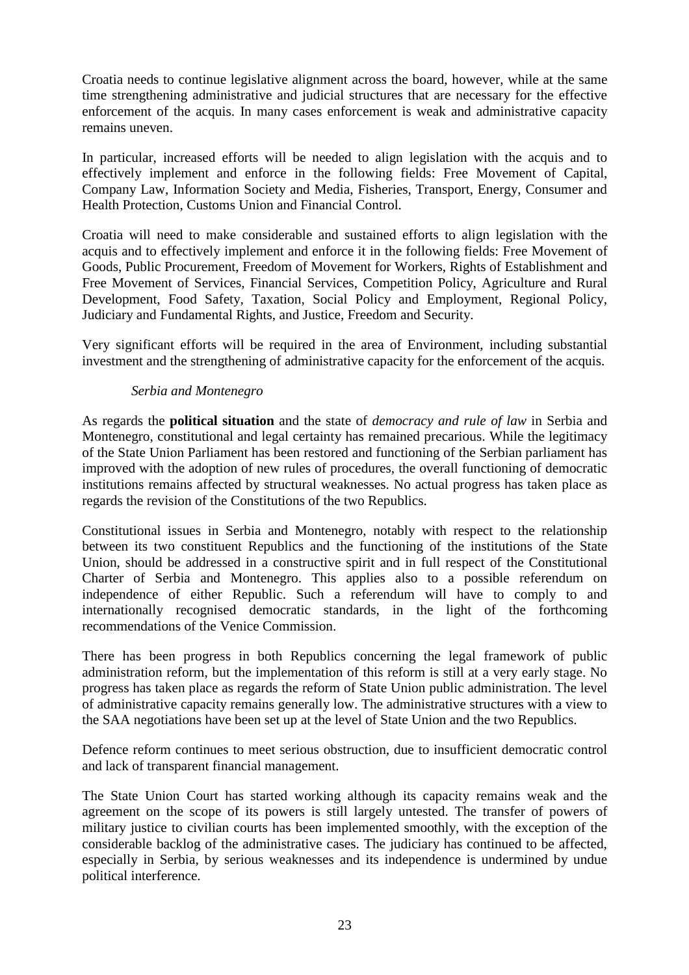Croatia needs to continue legislative alignment across the board, however, while at the same time strengthening administrative and judicial structures that are necessary for the effective enforcement of the acquis. In many cases enforcement is weak and administrative capacity remains uneven.

In particular, increased efforts will be needed to align legislation with the acquis and to effectively implement and enforce in the following fields: Free Movement of Capital, Company Law, Information Society and Media, Fisheries, Transport, Energy, Consumer and Health Protection, Customs Union and Financial Control.

Croatia will need to make considerable and sustained efforts to align legislation with the acquis and to effectively implement and enforce it in the following fields: Free Movement of Goods, Public Procurement, Freedom of Movement for Workers, Rights of Establishment and Free Movement of Services, Financial Services, Competition Policy, Agriculture and Rural Development, Food Safety, Taxation, Social Policy and Employment, Regional Policy, Judiciary and Fundamental Rights, and Justice, Freedom and Security.

Very significant efforts will be required in the area of Environment, including substantial investment and the strengthening of administrative capacity for the enforcement of the acquis.

### *Serbia and Montenegro*

As regards the **political situation** and the state of *democracy and rule of law* in Serbia and Montenegro, constitutional and legal certainty has remained precarious. While the legitimacy of the State Union Parliament has been restored and functioning of the Serbian parliament has improved with the adoption of new rules of procedures, the overall functioning of democratic institutions remains affected by structural weaknesses. No actual progress has taken place as regards the revision of the Constitutions of the two Republics.

Constitutional issues in Serbia and Montenegro, notably with respect to the relationship between its two constituent Republics and the functioning of the institutions of the State Union, should be addressed in a constructive spirit and in full respect of the Constitutional Charter of Serbia and Montenegro. This applies also to a possible referendum on independence of either Republic. Such a referendum will have to comply to and internationally recognised democratic standards, in the light of the forthcoming recommendations of the Venice Commission.

There has been progress in both Republics concerning the legal framework of public administration reform, but the implementation of this reform is still at a very early stage. No progress has taken place as regards the reform of State Union public administration. The level of administrative capacity remains generally low. The administrative structures with a view to the SAA negotiations have been set up at the level of State Union and the two Republics.

Defence reform continues to meet serious obstruction, due to insufficient democratic control and lack of transparent financial management.

The State Union Court has started working although its capacity remains weak and the agreement on the scope of its powers is still largely untested. The transfer of powers of military justice to civilian courts has been implemented smoothly, with the exception of the considerable backlog of the administrative cases. The judiciary has continued to be affected, especially in Serbia, by serious weaknesses and its independence is undermined by undue political interference.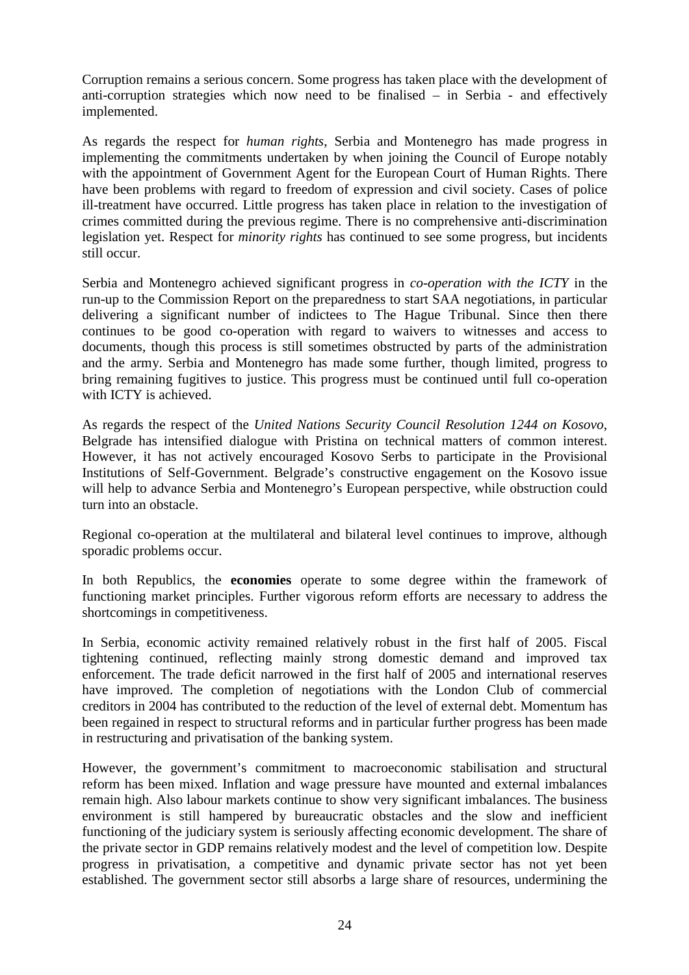Corruption remains a serious concern. Some progress has taken place with the development of anti-corruption strategies which now need to be finalised – in Serbia - and effectively implemented.

As regards the respect for *human rights*, Serbia and Montenegro has made progress in implementing the commitments undertaken by when joining the Council of Europe notably with the appointment of Government Agent for the European Court of Human Rights. There have been problems with regard to freedom of expression and civil society. Cases of police ill-treatment have occurred. Little progress has taken place in relation to the investigation of crimes committed during the previous regime. There is no comprehensive anti-discrimination legislation yet. Respect for *minority rights* has continued to see some progress, but incidents still occur.

Serbia and Montenegro achieved significant progress in *co-operation with the ICTY* in the run-up to the Commission Report on the preparedness to start SAA negotiations, in particular delivering a significant number of indictees to The Hague Tribunal. Since then there continues to be good co-operation with regard to waivers to witnesses and access to documents, though this process is still sometimes obstructed by parts of the administration and the army. Serbia and Montenegro has made some further, though limited, progress to bring remaining fugitives to justice. This progress must be continued until full co-operation with ICTY is achieved.

As regards the respect of the *United Nations Security Council Resolution 1244 on Kosovo*, Belgrade has intensified dialogue with Pristina on technical matters of common interest. However, it has not actively encouraged Kosovo Serbs to participate in the Provisional Institutions of Self-Government. Belgrade's constructive engagement on the Kosovo issue will help to advance Serbia and Montenegro's European perspective, while obstruction could turn into an obstacle.

Regional co-operation at the multilateral and bilateral level continues to improve, although sporadic problems occur.

In both Republics, the **economies** operate to some degree within the framework of functioning market principles. Further vigorous reform efforts are necessary to address the shortcomings in competitiveness.

In Serbia, economic activity remained relatively robust in the first half of 2005. Fiscal tightening continued, reflecting mainly strong domestic demand and improved tax enforcement. The trade deficit narrowed in the first half of 2005 and international reserves have improved. The completion of negotiations with the London Club of commercial creditors in 2004 has contributed to the reduction of the level of external debt. Momentum has been regained in respect to structural reforms and in particular further progress has been made in restructuring and privatisation of the banking system.

However, the government's commitment to macroeconomic stabilisation and structural reform has been mixed. Inflation and wage pressure have mounted and external imbalances remain high. Also labour markets continue to show very significant imbalances. The business environment is still hampered by bureaucratic obstacles and the slow and inefficient functioning of the judiciary system is seriously affecting economic development. The share of the private sector in GDP remains relatively modest and the level of competition low. Despite progress in privatisation, a competitive and dynamic private sector has not yet been established. The government sector still absorbs a large share of resources, undermining the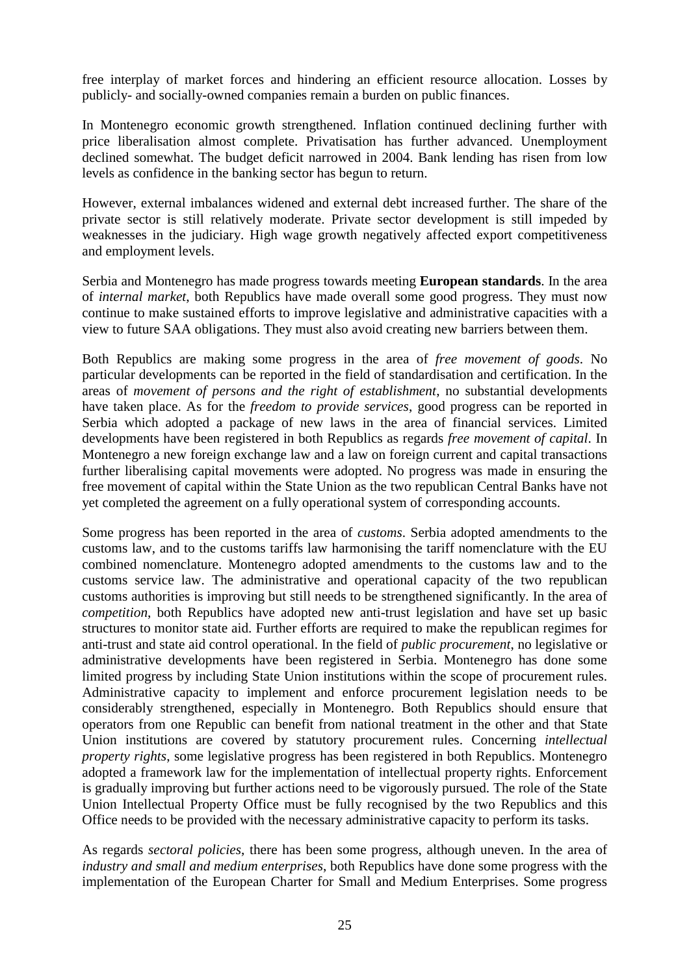free interplay of market forces and hindering an efficient resource allocation. Losses by publicly- and socially-owned companies remain a burden on public finances.

In Montenegro economic growth strengthened. Inflation continued declining further with price liberalisation almost complete. Privatisation has further advanced. Unemployment declined somewhat. The budget deficit narrowed in 2004. Bank lending has risen from low levels as confidence in the banking sector has begun to return.

However, external imbalances widened and external debt increased further. The share of the private sector is still relatively moderate. Private sector development is still impeded by weaknesses in the judiciary. High wage growth negatively affected export competitiveness and employment levels.

Serbia and Montenegro has made progress towards meeting **European standards**. In the area of *internal market*, both Republics have made overall some good progress. They must now continue to make sustained efforts to improve legislative and administrative capacities with a view to future SAA obligations. They must also avoid creating new barriers between them.

Both Republics are making some progress in the area of *free movement of goods*. No particular developments can be reported in the field of standardisation and certification. In the areas of *movement of persons and the right of establishment*, no substantial developments have taken place. As for the *freedom to provide services*, good progress can be reported in Serbia which adopted a package of new laws in the area of financial services. Limited developments have been registered in both Republics as regards *free movement of capital*. In Montenegro a new foreign exchange law and a law on foreign current and capital transactions further liberalising capital movements were adopted. No progress was made in ensuring the free movement of capital within the State Union as the two republican Central Banks have not yet completed the agreement on a fully operational system of corresponding accounts.

Some progress has been reported in the area of *customs*. Serbia adopted amendments to the customs law, and to the customs tariffs law harmonising the tariff nomenclature with the EU combined nomenclature. Montenegro adopted amendments to the customs law and to the customs service law. The administrative and operational capacity of the two republican customs authorities is improving but still needs to be strengthened significantly. In the area of *competition*, both Republics have adopted new anti-trust legislation and have set up basic structures to monitor state aid. Further efforts are required to make the republican regimes for anti-trust and state aid control operational. In the field of *public procurement*, no legislative or administrative developments have been registered in Serbia. Montenegro has done some limited progress by including State Union institutions within the scope of procurement rules. Administrative capacity to implement and enforce procurement legislation needs to be considerably strengthened, especially in Montenegro. Both Republics should ensure that operators from one Republic can benefit from national treatment in the other and that State Union institutions are covered by statutory procurement rules. Concerning *intellectual property rights*, some legislative progress has been registered in both Republics. Montenegro adopted a framework law for the implementation of intellectual property rights. Enforcement is gradually improving but further actions need to be vigorously pursued. The role of the State Union Intellectual Property Office must be fully recognised by the two Republics and this Office needs to be provided with the necessary administrative capacity to perform its tasks.

As regards *sectoral policies*, there has been some progress, although uneven. In the area of *industry and small and medium enterprises*, both Republics have done some progress with the implementation of the European Charter for Small and Medium Enterprises. Some progress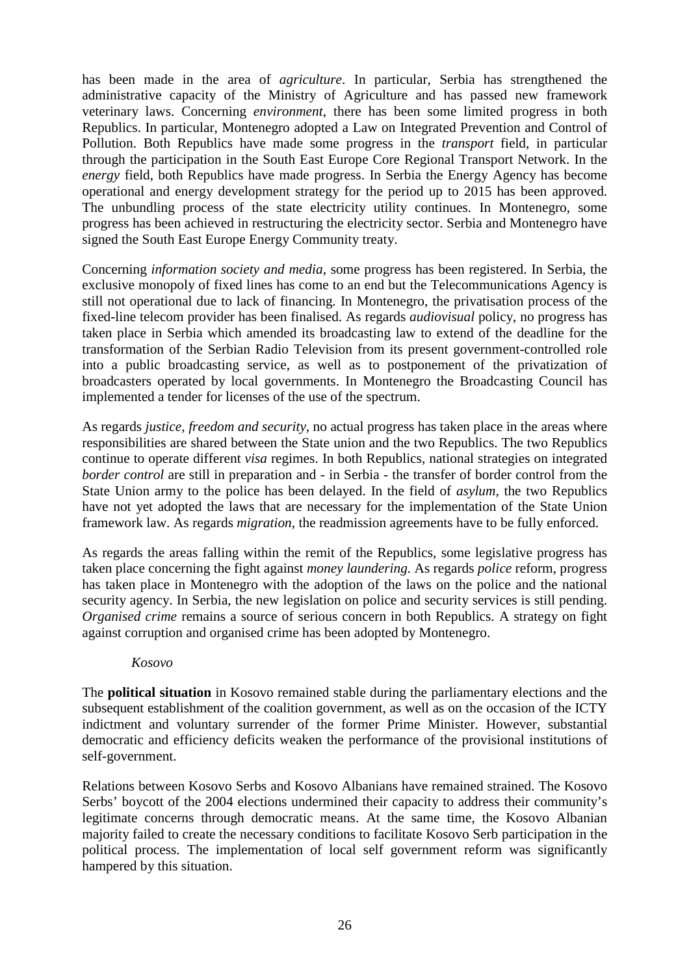has been made in the area of *agriculture*. In particular, Serbia has strengthened the administrative capacity of the Ministry of Agriculture and has passed new framework veterinary laws. Concerning *environment*, there has been some limited progress in both Republics. In particular, Montenegro adopted a Law on Integrated Prevention and Control of Pollution. Both Republics have made some progress in the *transport* field, in particular through the participation in the South East Europe Core Regional Transport Network. In the *energy* field, both Republics have made progress. In Serbia the Energy Agency has become operational and energy development strategy for the period up to 2015 has been approved. The unbundling process of the state electricity utility continues. In Montenegro, some progress has been achieved in restructuring the electricity sector. Serbia and Montenegro have signed the South East Europe Energy Community treaty.

Concerning *information society and media*, some progress has been registered. In Serbia, the exclusive monopoly of fixed lines has come to an end but the Telecommunications Agency is still not operational due to lack of financing. In Montenegro, the privatisation process of the fixed-line telecom provider has been finalised. As regards *audiovisual* policy, no progress has taken place in Serbia which amended its broadcasting law to extend of the deadline for the transformation of the Serbian Radio Television from its present government-controlled role into a public broadcasting service, as well as to postponement of the privatization of broadcasters operated by local governments. In Montenegro the Broadcasting Council has implemented a tender for licenses of the use of the spectrum.

As regards *justice, freedom and security*, no actual progress has taken place in the areas where responsibilities are shared between the State union and the two Republics. The two Republics continue to operate different *visa* regimes. In both Republics, national strategies on integrated *border control* are still in preparation and - in Serbia - the transfer of border control from the State Union army to the police has been delayed. In the field of *asylum*, the two Republics have not yet adopted the laws that are necessary for the implementation of the State Union framework law. As regards *migration*, the readmission agreements have to be fully enforced.

As regards the areas falling within the remit of the Republics, some legislative progress has taken place concerning the fight against *money laundering.* As regards *police* reform, progress has taken place in Montenegro with the adoption of the laws on the police and the national security agency. In Serbia, the new legislation on police and security services is still pending. *Organised crime* remains a source of serious concern in both Republics. A strategy on fight against corruption and organised crime has been adopted by Montenegro.

#### *Kosovo*

The **political situation** in Kosovo remained stable during the parliamentary elections and the subsequent establishment of the coalition government, as well as on the occasion of the ICTY indictment and voluntary surrender of the former Prime Minister. However, substantial democratic and efficiency deficits weaken the performance of the provisional institutions of self-government.

Relations between Kosovo Serbs and Kosovo Albanians have remained strained. The Kosovo Serbs' boycott of the 2004 elections undermined their capacity to address their community's legitimate concerns through democratic means. At the same time, the Kosovo Albanian majority failed to create the necessary conditions to facilitate Kosovo Serb participation in the political process. The implementation of local self government reform was significantly hampered by this situation.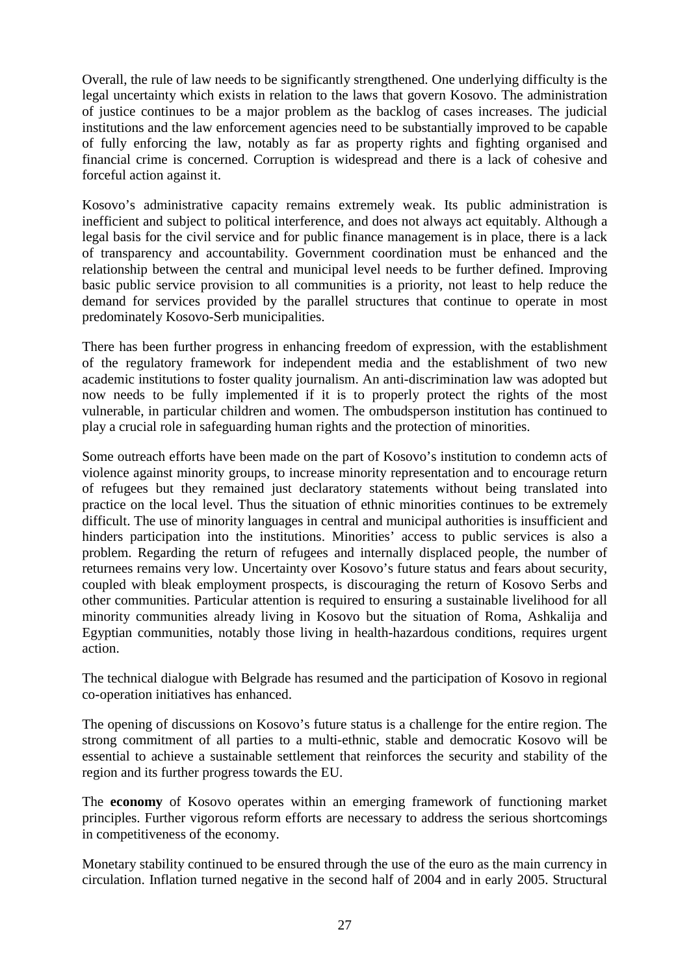Overall, the rule of law needs to be significantly strengthened. One underlying difficulty is the legal uncertainty which exists in relation to the laws that govern Kosovo. The administration of justice continues to be a major problem as the backlog of cases increases. The judicial institutions and the law enforcement agencies need to be substantially improved to be capable of fully enforcing the law, notably as far as property rights and fighting organised and financial crime is concerned. Corruption is widespread and there is a lack of cohesive and forceful action against it.

Kosovo's administrative capacity remains extremely weak. Its public administration is inefficient and subject to political interference, and does not always act equitably. Although a legal basis for the civil service and for public finance management is in place, there is a lack of transparency and accountability. Government coordination must be enhanced and the relationship between the central and municipal level needs to be further defined. Improving basic public service provision to all communities is a priority, not least to help reduce the demand for services provided by the parallel structures that continue to operate in most predominately Kosovo-Serb municipalities.

There has been further progress in enhancing freedom of expression, with the establishment of the regulatory framework for independent media and the establishment of two new academic institutions to foster quality journalism. An anti-discrimination law was adopted but now needs to be fully implemented if it is to properly protect the rights of the most vulnerable, in particular children and women. The ombudsperson institution has continued to play a crucial role in safeguarding human rights and the protection of minorities.

Some outreach efforts have been made on the part of Kosovo's institution to condemn acts of violence against minority groups, to increase minority representation and to encourage return of refugees but they remained just declaratory statements without being translated into practice on the local level. Thus the situation of ethnic minorities continues to be extremely difficult. The use of minority languages in central and municipal authorities is insufficient and hinders participation into the institutions. Minorities' access to public services is also a problem. Regarding the return of refugees and internally displaced people, the number of returnees remains very low. Uncertainty over Kosovo's future status and fears about security, coupled with bleak employment prospects, is discouraging the return of Kosovo Serbs and other communities. Particular attention is required to ensuring a sustainable livelihood for all minority communities already living in Kosovo but the situation of Roma, Ashkalija and Egyptian communities, notably those living in health-hazardous conditions, requires urgent action.

The technical dialogue with Belgrade has resumed and the participation of Kosovo in regional co-operation initiatives has enhanced.

The opening of discussions on Kosovo's future status is a challenge for the entire region. The strong commitment of all parties to a multi-ethnic, stable and democratic Kosovo will be essential to achieve a sustainable settlement that reinforces the security and stability of the region and its further progress towards the EU.

The **economy** of Kosovo operates within an emerging framework of functioning market principles. Further vigorous reform efforts are necessary to address the serious shortcomings in competitiveness of the economy.

Monetary stability continued to be ensured through the use of the euro as the main currency in circulation. Inflation turned negative in the second half of 2004 and in early 2005. Structural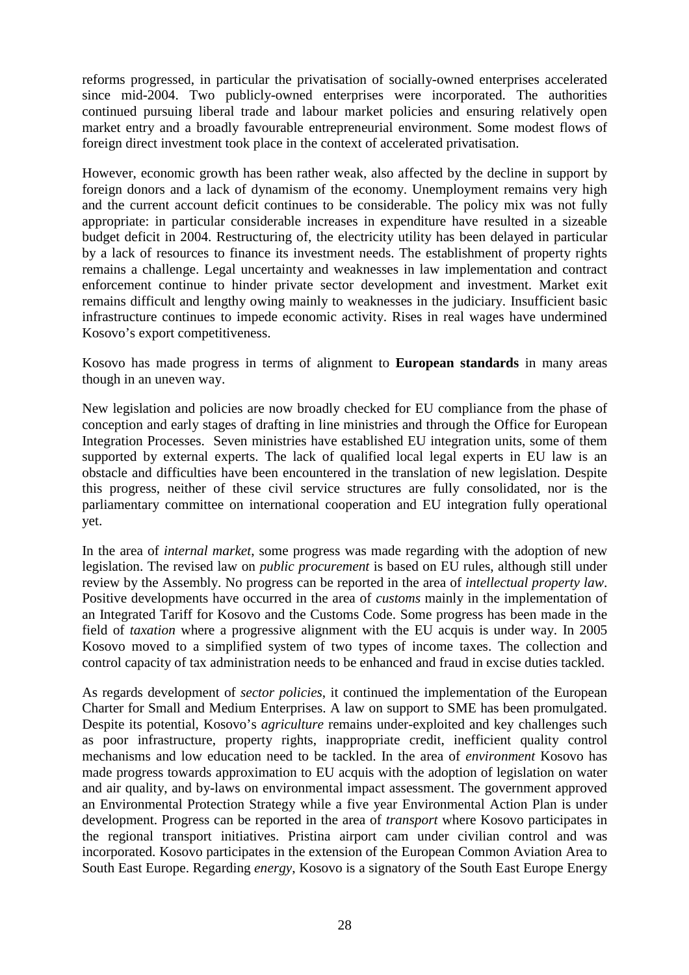reforms progressed, in particular the privatisation of socially-owned enterprises accelerated since mid-2004. Two publicly-owned enterprises were incorporated. The authorities continued pursuing liberal trade and labour market policies and ensuring relatively open market entry and a broadly favourable entrepreneurial environment. Some modest flows of foreign direct investment took place in the context of accelerated privatisation.

However, economic growth has been rather weak, also affected by the decline in support by foreign donors and a lack of dynamism of the economy. Unemployment remains very high and the current account deficit continues to be considerable. The policy mix was not fully appropriate: in particular considerable increases in expenditure have resulted in a sizeable budget deficit in 2004. Restructuring of, the electricity utility has been delayed in particular by a lack of resources to finance its investment needs. The establishment of property rights remains a challenge. Legal uncertainty and weaknesses in law implementation and contract enforcement continue to hinder private sector development and investment. Market exit remains difficult and lengthy owing mainly to weaknesses in the judiciary. Insufficient basic infrastructure continues to impede economic activity. Rises in real wages have undermined Kosovo's export competitiveness.

Kosovo has made progress in terms of alignment to **European standards** in many areas though in an uneven way.

New legislation and policies are now broadly checked for EU compliance from the phase of conception and early stages of drafting in line ministries and through the Office for European Integration Processes. Seven ministries have established EU integration units, some of them supported by external experts. The lack of qualified local legal experts in EU law is an obstacle and difficulties have been encountered in the translation of new legislation. Despite this progress, neither of these civil service structures are fully consolidated, nor is the parliamentary committee on international cooperation and EU integration fully operational yet.

In the area of *internal market*, some progress was made regarding with the adoption of new legislation. The revised law on *public procurement* is based on EU rules, although still under review by the Assembly. No progress can be reported in the area of *intellectual property law*. Positive developments have occurred in the area of *customs* mainly in the implementation of an Integrated Tariff for Kosovo and the Customs Code. Some progress has been made in the field of *taxation* where a progressive alignment with the EU acquis is under way. In 2005 Kosovo moved to a simplified system of two types of income taxes. The collection and control capacity of tax administration needs to be enhanced and fraud in excise duties tackled.

As regards development of *sector policies*, it continued the implementation of the European Charter for Small and Medium Enterprises. A law on support to SME has been promulgated. Despite its potential, Kosovo's *agriculture* remains under-exploited and key challenges such as poor infrastructure, property rights, inappropriate credit, inefficient quality control mechanisms and low education need to be tackled. In the area of *environment* Kosovo has made progress towards approximation to EU acquis with the adoption of legislation on water and air quality, and by-laws on environmental impact assessment. The government approved an Environmental Protection Strategy while a five year Environmental Action Plan is under development. Progress can be reported in the area of *transport* where Kosovo participates in the regional transport initiatives. Pristina airport cam under civilian control and was incorporated. Kosovo participates in the extension of the European Common Aviation Area to South East Europe. Regarding *energy*, Kosovo is a signatory of the South East Europe Energy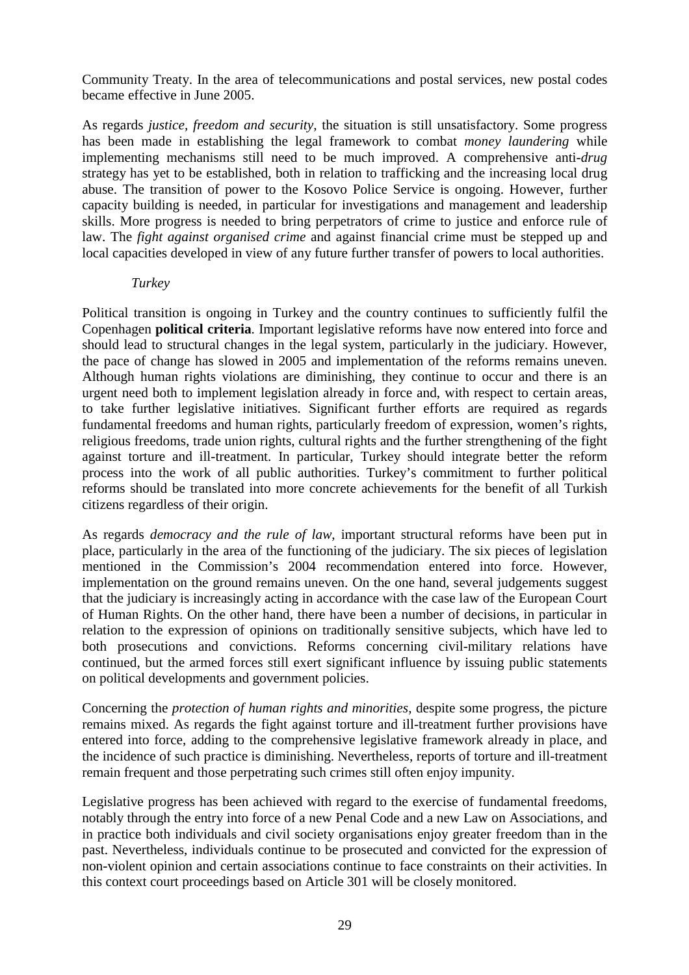Community Treaty. In the area of telecommunications and postal services, new postal codes became effective in June 2005.

As regards *justice, freedom and security*, the situation is still unsatisfactory. Some progress has been made in establishing the legal framework to combat *money laundering* while implementing mechanisms still need to be much improved. A comprehensive anti-*drug* strategy has yet to be established, both in relation to trafficking and the increasing local drug abuse. The transition of power to the Kosovo Police Service is ongoing. However, further capacity building is needed, in particular for investigations and management and leadership skills. More progress is needed to bring perpetrators of crime to justice and enforce rule of law. The *fight against organised crime* and against financial crime must be stepped up and local capacities developed in view of any future further transfer of powers to local authorities.

#### *Turkey*

Political transition is ongoing in Turkey and the country continues to sufficiently fulfil the Copenhagen **political criteria**. Important legislative reforms have now entered into force and should lead to structural changes in the legal system, particularly in the judiciary. However, the pace of change has slowed in 2005 and implementation of the reforms remains uneven. Although human rights violations are diminishing, they continue to occur and there is an urgent need both to implement legislation already in force and, with respect to certain areas, to take further legislative initiatives. Significant further efforts are required as regards fundamental freedoms and human rights, particularly freedom of expression, women's rights, religious freedoms, trade union rights, cultural rights and the further strengthening of the fight against torture and ill-treatment. In particular, Turkey should integrate better the reform process into the work of all public authorities. Turkey's commitment to further political reforms should be translated into more concrete achievements for the benefit of all Turkish citizens regardless of their origin.

As regards *democracy and the rule of law*, important structural reforms have been put in place, particularly in the area of the functioning of the judiciary. The six pieces of legislation mentioned in the Commission's 2004 recommendation entered into force. However, implementation on the ground remains uneven. On the one hand, several judgements suggest that the judiciary is increasingly acting in accordance with the case law of the European Court of Human Rights. On the other hand, there have been a number of decisions, in particular in relation to the expression of opinions on traditionally sensitive subjects, which have led to both prosecutions and convictions. Reforms concerning civil-military relations have continued, but the armed forces still exert significant influence by issuing public statements on political developments and government policies.

Concerning the *protection of human rights and minorities*, despite some progress, the picture remains mixed. As regards the fight against torture and ill-treatment further provisions have entered into force, adding to the comprehensive legislative framework already in place, and the incidence of such practice is diminishing. Nevertheless, reports of torture and ill-treatment remain frequent and those perpetrating such crimes still often enjoy impunity.

Legislative progress has been achieved with regard to the exercise of fundamental freedoms, notably through the entry into force of a new Penal Code and a new Law on Associations, and in practice both individuals and civil society organisations enjoy greater freedom than in the past. Nevertheless, individuals continue to be prosecuted and convicted for the expression of non-violent opinion and certain associations continue to face constraints on their activities. In this context court proceedings based on Article 301 will be closely monitored.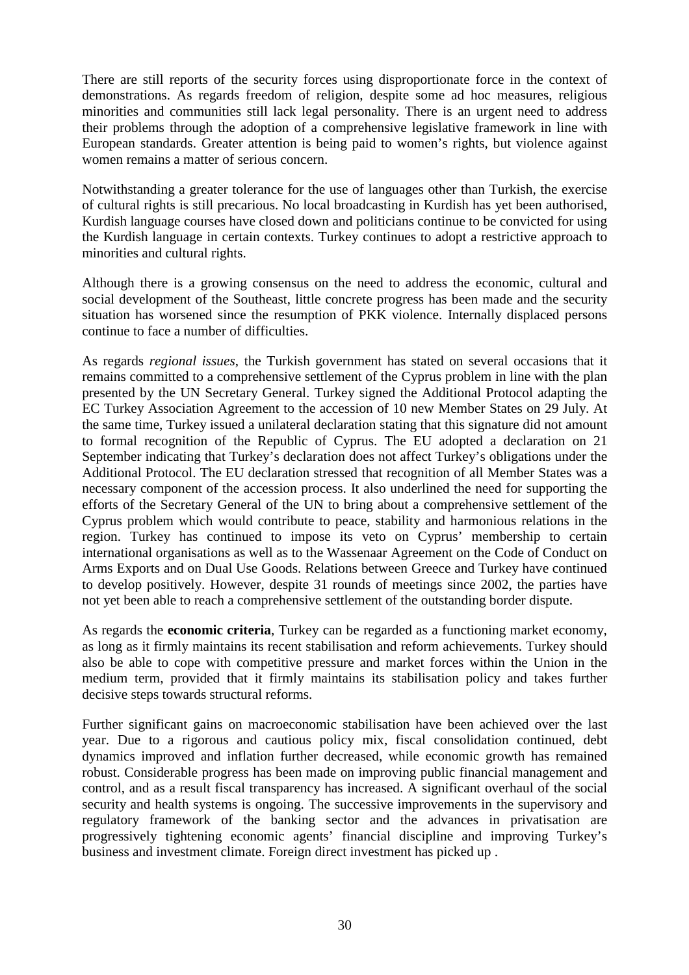There are still reports of the security forces using disproportionate force in the context of demonstrations. As regards freedom of religion, despite some ad hoc measures, religious minorities and communities still lack legal personality. There is an urgent need to address their problems through the adoption of a comprehensive legislative framework in line with European standards. Greater attention is being paid to women's rights, but violence against women remains a matter of serious concern.

Notwithstanding a greater tolerance for the use of languages other than Turkish, the exercise of cultural rights is still precarious. No local broadcasting in Kurdish has yet been authorised, Kurdish language courses have closed down and politicians continue to be convicted for using the Kurdish language in certain contexts. Turkey continues to adopt a restrictive approach to minorities and cultural rights.

Although there is a growing consensus on the need to address the economic, cultural and social development of the Southeast, little concrete progress has been made and the security situation has worsened since the resumption of PKK violence. Internally displaced persons continue to face a number of difficulties.

As regards *regional issues*, the Turkish government has stated on several occasions that it remains committed to a comprehensive settlement of the Cyprus problem in line with the plan presented by the UN Secretary General. Turkey signed the Additional Protocol adapting the EC Turkey Association Agreement to the accession of 10 new Member States on 29 July. At the same time, Turkey issued a unilateral declaration stating that this signature did not amount to formal recognition of the Republic of Cyprus. The EU adopted a declaration on 21 September indicating that Turkey's declaration does not affect Turkey's obligations under the Additional Protocol. The EU declaration stressed that recognition of all Member States was a necessary component of the accession process. It also underlined the need for supporting the efforts of the Secretary General of the UN to bring about a comprehensive settlement of the Cyprus problem which would contribute to peace, stability and harmonious relations in the region. Turkey has continued to impose its veto on Cyprus' membership to certain international organisations as well as to the Wassenaar Agreement on the Code of Conduct on Arms Exports and on Dual Use Goods. Relations between Greece and Turkey have continued to develop positively. However, despite 31 rounds of meetings since 2002, the parties have not yet been able to reach a comprehensive settlement of the outstanding border dispute.

As regards the **economic criteria**, Turkey can be regarded as a functioning market economy, as long as it firmly maintains its recent stabilisation and reform achievements. Turkey should also be able to cope with competitive pressure and market forces within the Union in the medium term, provided that it firmly maintains its stabilisation policy and takes further decisive steps towards structural reforms.

Further significant gains on macroeconomic stabilisation have been achieved over the last year. Due to a rigorous and cautious policy mix, fiscal consolidation continued, debt dynamics improved and inflation further decreased, while economic growth has remained robust. Considerable progress has been made on improving public financial management and control, and as a result fiscal transparency has increased. A significant overhaul of the social security and health systems is ongoing. The successive improvements in the supervisory and regulatory framework of the banking sector and the advances in privatisation are progressively tightening economic agents' financial discipline and improving Turkey's business and investment climate. Foreign direct investment has picked up .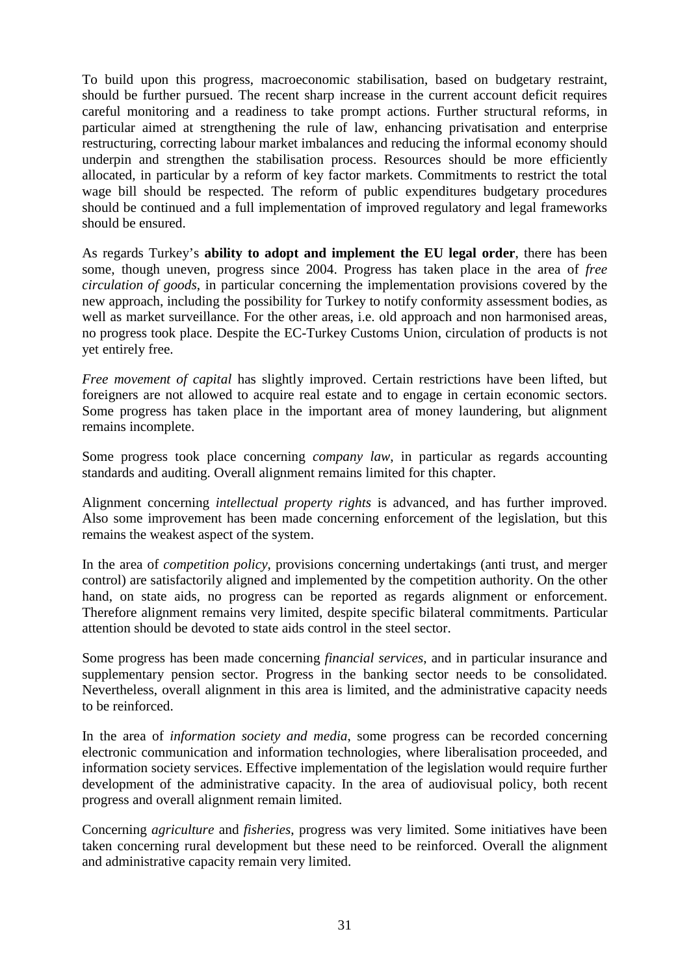To build upon this progress, macroeconomic stabilisation, based on budgetary restraint, should be further pursued. The recent sharp increase in the current account deficit requires careful monitoring and a readiness to take prompt actions. Further structural reforms, in particular aimed at strengthening the rule of law, enhancing privatisation and enterprise restructuring, correcting labour market imbalances and reducing the informal economy should underpin and strengthen the stabilisation process. Resources should be more efficiently allocated, in particular by a reform of key factor markets. Commitments to restrict the total wage bill should be respected. The reform of public expenditures budgetary procedures should be continued and a full implementation of improved regulatory and legal frameworks should be ensured.

As regards Turkey's **ability to adopt and implement the EU legal order**, there has been some, though uneven, progress since 2004. Progress has taken place in the area of *free circulation of goods*, in particular concerning the implementation provisions covered by the new approach, including the possibility for Turkey to notify conformity assessment bodies, as well as market surveillance. For the other areas, i.e. old approach and non harmonised areas, no progress took place. Despite the EC-Turkey Customs Union, circulation of products is not yet entirely free.

*Free movement of capital* has slightly improved. Certain restrictions have been lifted, but foreigners are not allowed to acquire real estate and to engage in certain economic sectors. Some progress has taken place in the important area of money laundering, but alignment remains incomplete.

Some progress took place concerning *company law*, in particular as regards accounting standards and auditing. Overall alignment remains limited for this chapter.

Alignment concerning *intellectual property rights* is advanced, and has further improved. Also some improvement has been made concerning enforcement of the legislation, but this remains the weakest aspect of the system.

In the area of *competition policy*, provisions concerning undertakings (anti trust, and merger control) are satisfactorily aligned and implemented by the competition authority. On the other hand, on state aids, no progress can be reported as regards alignment or enforcement. Therefore alignment remains very limited, despite specific bilateral commitments. Particular attention should be devoted to state aids control in the steel sector.

Some progress has been made concerning *financial services*, and in particular insurance and supplementary pension sector. Progress in the banking sector needs to be consolidated. Nevertheless, overall alignment in this area is limited, and the administrative capacity needs to be reinforced.

In the area of *information society and media*, some progress can be recorded concerning electronic communication and information technologies, where liberalisation proceeded, and information society services. Effective implementation of the legislation would require further development of the administrative capacity. In the area of audiovisual policy, both recent progress and overall alignment remain limited.

Concerning *agriculture* and *fisheries*, progress was very limited. Some initiatives have been taken concerning rural development but these need to be reinforced. Overall the alignment and administrative capacity remain very limited.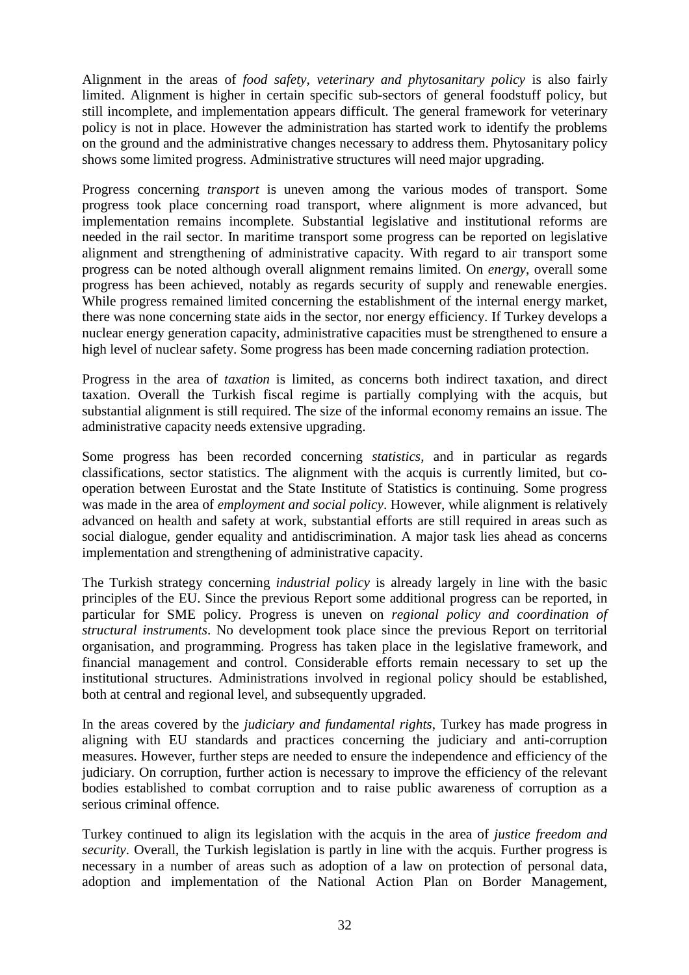Alignment in the areas of *food safety, veterinary and phytosanitary policy* is also fairly limited. Alignment is higher in certain specific sub-sectors of general foodstuff policy, but still incomplete, and implementation appears difficult. The general framework for veterinary policy is not in place. However the administration has started work to identify the problems on the ground and the administrative changes necessary to address them. Phytosanitary policy shows some limited progress. Administrative structures will need major upgrading.

Progress concerning *transport* is uneven among the various modes of transport. Some progress took place concerning road transport, where alignment is more advanced, but implementation remains incomplete. Substantial legislative and institutional reforms are needed in the rail sector. In maritime transport some progress can be reported on legislative alignment and strengthening of administrative capacity. With regard to air transport some progress can be noted although overall alignment remains limited. On *energy*, overall some progress has been achieved, notably as regards security of supply and renewable energies. While progress remained limited concerning the establishment of the internal energy market, there was none concerning state aids in the sector, nor energy efficiency. If Turkey develops a nuclear energy generation capacity, administrative capacities must be strengthened to ensure a high level of nuclear safety. Some progress has been made concerning radiation protection.

Progress in the area of *taxation* is limited, as concerns both indirect taxation, and direct taxation. Overall the Turkish fiscal regime is partially complying with the acquis, but substantial alignment is still required. The size of the informal economy remains an issue. The administrative capacity needs extensive upgrading.

Some progress has been recorded concerning *statistics*, and in particular as regards classifications, sector statistics. The alignment with the acquis is currently limited, but cooperation between Eurostat and the State Institute of Statistics is continuing. Some progress was made in the area of *employment and social policy*. However, while alignment is relatively advanced on health and safety at work, substantial efforts are still required in areas such as social dialogue, gender equality and antidiscrimination. A major task lies ahead as concerns implementation and strengthening of administrative capacity.

The Turkish strategy concerning *industrial policy* is already largely in line with the basic principles of the EU. Since the previous Report some additional progress can be reported, in particular for SME policy. Progress is uneven on *regional policy and coordination of structural instruments*. No development took place since the previous Report on territorial organisation, and programming. Progress has taken place in the legislative framework, and financial management and control. Considerable efforts remain necessary to set up the institutional structures. Administrations involved in regional policy should be established, both at central and regional level, and subsequently upgraded.

In the areas covered by the *judiciary and fundamental rights*, Turkey has made progress in aligning with EU standards and practices concerning the judiciary and anti-corruption measures. However, further steps are needed to ensure the independence and efficiency of the judiciary. On corruption, further action is necessary to improve the efficiency of the relevant bodies established to combat corruption and to raise public awareness of corruption as a serious criminal offence.

Turkey continued to align its legislation with the acquis in the area of *justice freedom and security*. Overall, the Turkish legislation is partly in line with the acquis. Further progress is necessary in a number of areas such as adoption of a law on protection of personal data, adoption and implementation of the National Action Plan on Border Management,